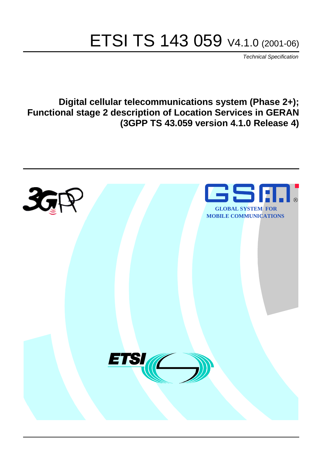# ETSI TS 143 059 V4.1.0 (2001-06)

Technical Specification

**Digital cellular telecommunications system (Phase 2+); Functional stage 2 description of Location Services in GERAN (3GPP TS 43.059 version 4.1.0 Release 4)**

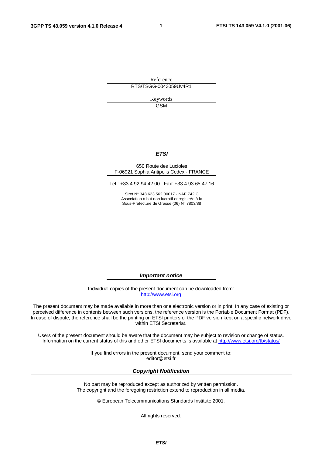**1**

Reference RTS/TSGG-0043059Uv4R1

> Keywords GSM

#### **ETSI**

#### 650 Route des Lucioles F-06921 Sophia Antipolis Cedex - FRANCE

Tel.: +33 4 92 94 42 00 Fax: +33 4 93 65 47 16

Siret N° 348 623 562 00017 - NAF 742 C Association à but non lucratif enregistrée à la Sous-Préfecture de Grasse (06) N° 7803/88

**Important notice**

Individual copies of the present document can be downloaded from: [http://www.etsi.org](http://www.etsi.org/)

The present document may be made available in more than one electronic version or in print. In any case of existing or perceived difference in contents between such versions, the reference version is the Portable Document Format (PDF). In case of dispute, the reference shall be the printing on ETSI printers of the PDF version kept on a specific network drive within ETSI Secretariat.

Users of the present document should be aware that the document may be subject to revision or change of status. Information on the current status of this and other ETSI documents is available at [http://www.etsi.org/tb/status/](http://www.etsi.org/tb/status)

> If you find errors in the present document, send your comment to: <editor@etsi.fr>

#### **Copyright Notification**

No part may be reproduced except as authorized by written permission. The copyright and the foregoing restriction extend to reproduction in all media.

© European Telecommunications Standards Institute 2001.

All rights reserved.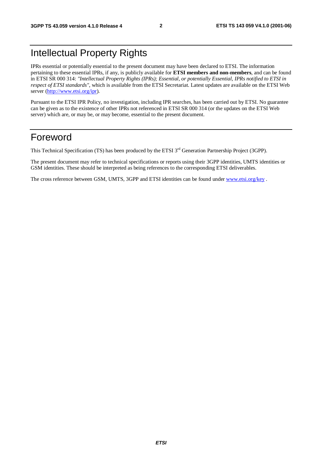### Intellectual Property Rights

IPRs essential or potentially essential to the present document may have been declared to ETSI. The information pertaining to these essential IPRs, if any, is publicly available for **ETSI members and non-members**, and can be found in ETSI SR 000 314: *"Intellectual Property Rights (IPRs); Essential, or potentially Essential, IPRs notified to ETSI in respect of ETSI standards"*, which is available from the ETSI Secretariat. Latest updates are available on the ETSI Web server [\(http://www.etsi.org/ipr](http://www.etsi.org/ipr)).

Pursuant to the ETSI IPR Policy, no investigation, including IPR searches, has been carried out by ETSI. No guarantee can be given as to the existence of other IPRs not referenced in ETSI SR 000 314 (or the updates on the ETSI Web server) which are, or may be, or may become, essential to the present document.

### Foreword

This Technical Specification (TS) has been produced by the ETSI 3<sup>rd</sup> Generation Partnership Project (3GPP).

The present document may refer to technical specifications or reports using their 3GPP identities, UMTS identities or GSM identities. These should be interpreted as being references to the corresponding ETSI deliverables.

The cross reference between GSM, UMTS, 3GPP and ETSI identities can be found under [www.etsi.org/key](http://www.etsi.org/key) .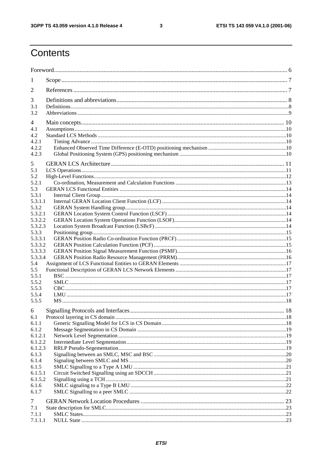$\mathbf{3}$ 

## Contents

| 1                  |  |
|--------------------|--|
| 2                  |  |
| 3                  |  |
| 3.1                |  |
| 3.2                |  |
| 4<br>4.1           |  |
| 4.2                |  |
| 4.2.1              |  |
| 4.2.2              |  |
| 4.2.3              |  |
| 5                  |  |
| 5.1                |  |
| 5.2                |  |
| 5.2.1<br>5.3       |  |
| 5.3.1              |  |
| 5.3.1.1            |  |
| 5.3.2              |  |
| 5.3.2.1            |  |
| 5.3.2.2            |  |
| 5.3.2.3            |  |
| 5.3.3<br>5.3.3.1   |  |
| 5.3.3.2            |  |
| 5.3.3.3            |  |
| 5.3.3.4            |  |
| 5.4                |  |
| 5.5                |  |
| 5.5.1<br>5.5.2     |  |
| 5.5.3              |  |
| 5.5.4              |  |
| 5.5.5              |  |
| 6                  |  |
| 6.1                |  |
| 6.1.1              |  |
| 6.1.2              |  |
| 6.1.2.1            |  |
| 6.1.2.2<br>6.1.2.3 |  |
| 6.1.3              |  |
| 6.1.4              |  |
| 6.1.5              |  |
| 6.1.5.1            |  |
| 6.1.5.2            |  |
| 6.1.6              |  |
| 6.1.7              |  |
| 7                  |  |
| 7.1                |  |
| 7.1.1<br>7.1.1.1   |  |
|                    |  |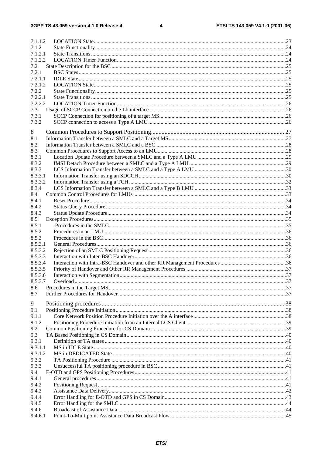$\overline{\mathbf{4}}$ 

| 7.1.1.2 |  |
|---------|--|
| 7.1.2   |  |
| 7.1.2.1 |  |
| 7.1.2.2 |  |
| 7.2     |  |
| 7.2.1   |  |
| 7.2.1.1 |  |
| 7.2.1.2 |  |
| 7.2.2   |  |
| 7.2.2.1 |  |
| 7.2.2.2 |  |
| 7.3     |  |
| 7.3.1   |  |
|         |  |
| 7.3.2   |  |
| 8       |  |
| 8.1     |  |
| 8.2     |  |
| 8.3     |  |
| 8.3.1   |  |
| 8.3.2   |  |
| 8.3.3   |  |
| 8.3.3.1 |  |
| 8.3.3.2 |  |
| 8.3.4   |  |
| 8.4     |  |
| 8.4.1   |  |
| 8.4.2   |  |
| 8.4.3   |  |
| 8.5     |  |
| 8.5.1   |  |
| 8.5.2   |  |
|         |  |
| 8.5.3   |  |
| 8.5.3.1 |  |
| 8.5.3.2 |  |
| 8.5.3.3 |  |
| 8.5.3.4 |  |
| 8.5.3.5 |  |
| 8.5.3.6 |  |
| 8.5.3.7 |  |
| 8.6     |  |
| 8.7     |  |
| 9       |  |
| 9.1     |  |
| 9.1.1   |  |
| 9.1.2   |  |
| 9.2     |  |
| 9.3     |  |
| 9.3.1   |  |
| 9.3.1.1 |  |
| 9.3.1.2 |  |
| 9.3.2   |  |
| 9.3.3   |  |
| 9.4     |  |
| 9.4.1   |  |
|         |  |
| 9.4.2   |  |
| 9.4.3   |  |
| 9.4.4   |  |
| 9.4.5   |  |
| 9.4.6   |  |
| 9.4.6.1 |  |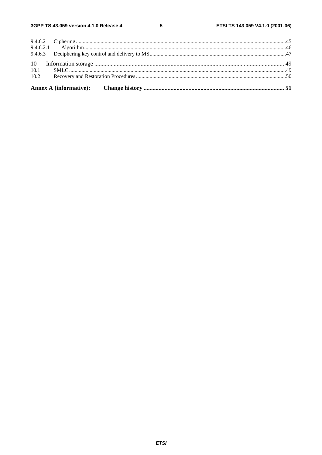$5\phantom{a}$ 

| 10.2 |  |
|------|--|
| 10.1 |  |
|      |  |
|      |  |
|      |  |
|      |  |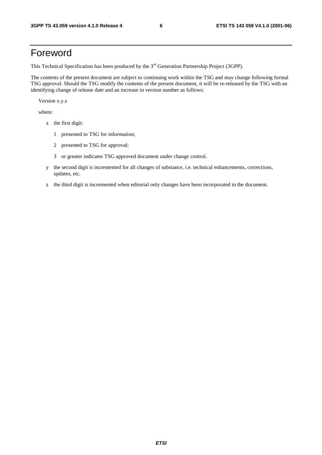### Foreword

This Technical Specification has been produced by the 3<sup>rd</sup> Generation Partnership Project (3GPP).

The contents of the present document are subject to continuing work within the TSG and may change following formal TSG approval. Should the TSG modify the contents of the present document, it will be re-released by the TSG with an identifying change of release date and an increase in version number as follows:

Version x.y.z

where:

- x the first digit:
	- 1 presented to TSG for information;
	- 2 presented to TSG for approval;
	- 3 or greater indicates TSG approved document under change control.
- y the second digit is incremented for all changes of substance, i.e. technical enhancements, corrections, updates, etc.
- z the third digit is incremented when editorial only changes have been incorporated in the document.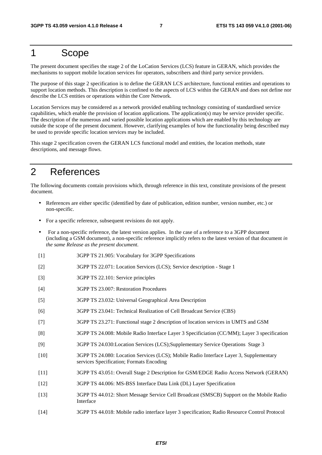### 1 Scope

The present document specifies the stage 2 of the LoCation Services (LCS) feature in GERAN, which provides the mechanisms to support mobile location services for operators, subscribers and third party service providers.

The purpose of this stage 2 specification is to define the GERAN LCS architecture, functional entities and operations to support location methods. This description is confined to the aspects of LCS within the GERAN and does not define nor describe the LCS entities or operations within the Core Network.

Location Services may be considered as a network provided enabling technology consisting of standardised service capabilities, which enable the provision of location applications. The application(s) may be service provider specific. The description of the numerous and varied possible location applications which are enabled by this technology are outside the scope of the present document. However, clarifying examples of how the functionality being described may be used to provide specific location services may be included.

This stage 2 specification covers the GERAN LCS functional model and entities, the location methods, state descriptions, and message flows.

### 2 References

The following documents contain provisions which, through reference in this text, constitute provisions of the present document.

- References are either specific (identified by date of publication, edition number, version number, etc.) or non-specific.
- For a specific reference, subsequent revisions do not apply.
- For a non-specific reference, the latest version applies. In the case of a reference to a 3GPP document (including a GSM document), a non-specific reference implicitly refers to the latest version of that document *in the same Release as the present document*.
- [1] 3GPP TS 21.905: Vocabulary for 3GPP Specifications
- [2] 3GPP TS 22.071: Location Services (LCS); Service description Stage 1
- [3] 3GPP TS 22.101: Service principles
- [4] 3GPP TS 23.007: Restoration Procedures
- [5] 3GPP TS 23.032: Universal Geographical Area Description
- [6] 3GPP TS 23.041: Technical Realization of Cell Broadcast Service (CBS)
- [7] 3GPP TS 23.271: Functional stage 2 description of location services in UMTS and GSM
- [8] 3GPP TS 24.008: Mobile Radio Interface Layer 3 Specificiation (CC/MM); Layer 3 specification
- [9] 3GPP TS 24.030:Location Services (LCS);Supplementary Service Operations Stage 3
- [10] 3GPP TS 24.080: Location Services (LCS); Mobile Radio Interface Layer 3, Supplementary services Specification; Formats Encoding
- [11] 3GPP TS 43.051: Overall Stage 2 Description for GSM/EDGE Radio Access Network (GERAN)
- [12] 3GPP TS 44.006: MS-BSS Interface Data Link (DL) Layer Specification
- [13] 3GPP TS 44.012: Short Message Service Cell Broadcast (SMSCB) Support on the Mobile Radio Interface
- [14] 3GPP TS 44.018: Mobile radio interface layer 3 specification; Radio Resource Control Protocol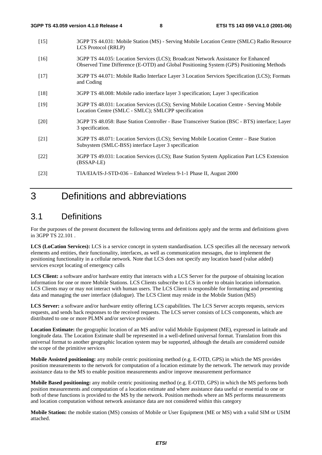- [15] 3GPP TS 44.031: Mobile Station (MS) Serving Mobile Location Centre (SMLC) Radio Resource LCS Protocol (RRLP)
- [16] 3GPP TS 44.035: Location Services (LCS); Broadcast Network Assistance for Enhanced Observed Time Difference (E-OTD) and Global Positioning System (GPS) Positioning Methods
- [17] 3GPP TS 44.071: Mobile Radio Interface Layer 3 Location Services Specification (LCS); Formats and Coding
- [18] 3GPP TS 48.008: Mobile radio interface layer 3 specification; Layer 3 specification
- [19] 3GPP TS 48.031: Location Services (LCS); Serving Mobile Location Centre Serving Mobile Location Centre (SMLC - SMLC); SMLCPP specification
- [20] 3GPP TS 48.058: Base Station Controller Base Transceiver Station (BSC BTS) interface; Layer 3 specification.
- [21] 3GPP TS 48.071: Location Services (LCS); Serving Mobile Location Center Base Station Subsystem (SMLC-BSS) interface Layer 3 specification
- [22] 3GPP TS 49.031: Location Services (LCS); Base Station System Application Part LCS Extension (BSSAP-LE)
- [23] TIA/EIA/IS-J-STD-036 Enhanced Wireless 9-1-1 Phase II, August 2000

### 3 Definitions and abbreviations

### 3.1 Definitions

For the purposes of the present document the following terms and definitions apply and the terms and definitions given in 3GPP TS 22.101 .

**LCS (LoCation Services):** LCS is a service concept in system standardisation. LCS specifies all the necessary network elements and entities, their functionality, interfaces, as well as communication messages, due to implement the positioning functionality in a cellular network. Note that LCS does not specify any location based (value added) services except locating of emergency calls

LCS Client: a software and/or hardware entity that interacts with a LCS Server for the purpose of obtaining location information for one or more Mobile Stations. LCS Clients subscribe to LCS in order to obtain location information. LCS Clients may or may not interact with human users. The LCS Client is responsible for formatting and presenting data and managing the user interface (dialogue). The LCS Client may reside in the Mobile Station (MS)

**LCS Server:** a software and/or hardware entity offering LCS capabilities. The LCS Server accepts requests, services requests, and sends back responses to the received requests. The LCS server consists of LCS components, which are distributed to one or more PLMN and/or service provider

**Location Estimate:** the geographic location of an MS and/or valid Mobile Equipment (ME), expressed in latitude and longitude data. The Location Estimate shall be represented in a well-defined universal format. Translation from this universal format to another geographic location system may be supported, although the details are considered outside the scope of the primitive services

**Mobile Assisted positioning:** any mobile centric positioning method (e.g. E-OTD, GPS) in which the MS provides position measurements to the network for computation of a location estimate by the network. The network may provide assistance data to the MS to enable position measurements and/or improve measurement performance

**Mobile Based positioning:** any mobile centric positioning method (e.g. E-OTD, GPS) in which the MS performs both position measurements and computation of a location estimate and where assistance data useful or essential to one or both of these functions is provided to the MS by the network. Position methods where an MS performs measurements and location computation without network assistance data are not considered within this category

**Mobile Station:** the mobile station (MS) consists of Mobile or User Equipment (ME or MS) with a valid SIM or USIM attached.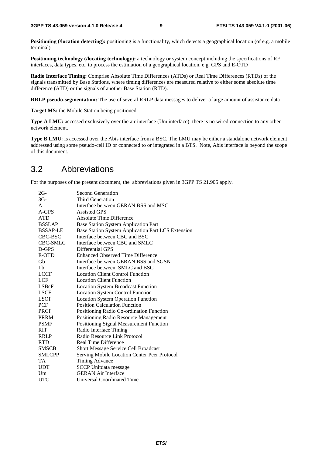Positioning (*location detecting*): positioning is a functionality, which detects a geographical location (of e.g. a mobile terminal)

**Positioning technology (/locating technology):** a technology or system concept including the specifications of RF interfaces, data types, etc. to process the estimation of a geographical location, e.g. GPS and E-OTD

**Radio Interface Timing:** Comprise Absolute Time Differences (ATDs) or Real Time Differences (RTDs) of the signals transmitted by Base Stations, where timing differences are measured relative to either some absolute time difference (ATD) or the signals of another Base Station (RTD).

**RRLP pseudo-segmentation:** The use of several RRLP data messages to deliver a large amount of assistance data

**Target MS:** the Mobile Station being positioned

**Type A LMU:** accessed exclusively over the air interface (Um interface): there is no wired connection to any other network element.

**Type B LMU**: is accessed over the Abis interface from a BSC. The LMU may be either a standalone network element addressed using some pseudo-cell ID or connected to or integrated in a BTS. Note, Abis interface is beyond the scope of this document.

### 3.2 Abbreviations

For the purposes of the present document, the abbreviations given in 3GPP TS 21.905 apply.

| 2G-             | <b>Second Generation</b>                           |
|-----------------|----------------------------------------------------|
| $3G-$           | Third Generation                                   |
| A               | Interface between GERAN BSS and MSC                |
| A-GPS           | <b>Assisted GPS</b>                                |
| <b>ATD</b>      | Absolute Time Difference                           |
| <b>BSSLAP</b>   | <b>Base Station System Application Part</b>        |
| <b>BSSAP-LE</b> | Base Station System Application Part LCS Extension |
| CBC-BSC         | Interface between CBC and BSC                      |
| CBC-SMLC        | Interface between CBC and SMLC                     |
| D-GPS           | Differential GPS                                   |
| E-OTD           | Enhanced Observed Time Difference                  |
| Gb              | Interface between GERAN BSS and SGSN               |
| Lb              | Interface between SMLC and BSC                     |
| <b>LCCF</b>     | <b>Location Client Control Function</b>            |
| LCF             | <b>Location Client Function</b>                    |
| LSBcF           | <b>Location System Broadcast Function</b>          |
| <b>LSCF</b>     | <b>Location System Control Function</b>            |
| <b>LSOF</b>     | <b>Location System Operation Function</b>          |
| PCF             | <b>Position Calculation Function</b>               |
| <b>PRCF</b>     | Positioning Radio Co-ordination Function           |
| PRRM            | Positioning Radio Resource Management              |
| <b>PSMF</b>     | Positioning Signal Measurement Function            |
| <b>RIT</b>      | Radio Interface Timing                             |
| <b>RRLP</b>     | Radio Resource Link Protocol                       |
| <b>RTD</b>      | Real Time Difference                               |
| <b>SMSCB</b>    | <b>Short Message Service Cell Broadcast</b>        |
| <b>SMLCPP</b>   | Serving Mobile Location Center Peer Protocol       |
| TA              | Timing Advance                                     |
| <b>UDT</b>      | <b>SCCP</b> Unitdata message                       |
| Um              | <b>GERAN Air Interface</b>                         |
| UTC             | Universal Coordinated Time                         |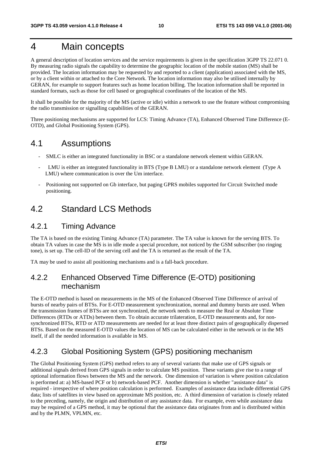### 4 Main concepts

A general description of location services and the service requirements is given in the specification 3GPP TS 22.071 0. By measuring radio signals the capability to determine the geographic location of the mobile station (MS) shall be provided. The location information may be requested by and reported to a client (application) associated with the MS, or by a client within or attached to the Core Network. The location information may also be utilised internally by GERAN, for example to support features such as home location billing. The location information shall be reported in standard formats, such as those for cell based or geographical coordinates of the location of the MS.

It shall be possible for the majority of the MS (active or idle) within a network to use the feature without compromising the radio transmission or signalling capabilities of the GERAN.

Three positioning mechanisms are supported for LCS: Timing Advance (TA), Enhanced Observed Time Difference (E-OTD), and Global Positioning System (GPS).

### 4.1 Assumptions

- SMLC is either an integrated functionality in BSC or a standalone network element within GERAN.
- LMU is either an integrated functionality in BTS (Type B LMU) or a standalone network element (Type A LMU) where communication is over the Um interface.
- Positioning not supported on Gb interface, but paging GPRS mobiles supported for Circuit Switched mode positioning.

### 4.2 Standard LCS Methods

### 4.2.1 Timing Advance

The TA is based on the existing Timing Advance (TA) parameter. The TA value is known for the serving BTS. To obtain TA values in case the MS is in idle mode a special procedure, not noticed by the GSM subscriber (no ringing tone), is set up. The cell-ID of the serving cell and the TA is returned as the result of the TA.

TA may be used to assist all positioning mechanisms and is a fall-back procedure.

### 4.2.2 Enhanced Observed Time Difference (E-OTD) positioning mechanism

The E-OTD method is based on measurements in the MS of the Enhanced Observed Time Difference of arrival of bursts of nearby pairs of BTSs. For E-OTD measurement synchronization, normal and dummy bursts are used. When the transmission frames of BTSs are not synchronized, the network needs to measure the Real or Absolute Time Differences (RTDs or ATDs) between them. To obtain accurate trilateration, E-OTD measurements and, for nonsynchronized BTSs, RTD or ATD measurements are needed for at least three distinct pairs of geographically dispersed BTSs. Based on the measured E-OTD values the location of MS can be calculated either in the network or in the MS itself, if all the needed information is available in MS.

### 4.2.3 Global Positioning System (GPS) positioning mechanism

The Global Positioning System (GPS) method refers to any of several variants that make use of GPS signals or additional signals derived from GPS signals in order to calculate MS position. These variants give rise to a range of optional information flows between the MS and the network. One dimension of variation is where position calculation is performed at: a) MS-based PCF or b) network-based PCF. Another dimension is whether "assistance data" is required - irrespective of where position calculation is performed. Examples of assistance data include differential GPS data; lists of satellites in view based on approximate MS position, etc. A third dimension of variation is closely related to the preceding, namely, the origin and distribution of any assistance data. For example, even while assistance data may be required of a GPS method, it may be optional that the assistance data originates from and is distributed within and by the PLMN, VPLMN, etc.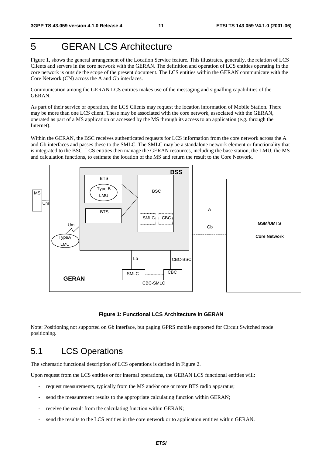### 5 GERAN LCS Architecture

Figure 1, shows the general arrangement of the Location Service feature. This illustrates, generally, the relation of LCS Clients and servers in the core network with the GERAN. The definition and operation of LCS entities operating in the core network is outside the scope of the present document. The LCS entities within the GERAN communicate with the Core Network (CN) across the A and Gb interfaces.

Communication among the GERAN LCS entities makes use of the messaging and signalling capabilities of the GERAN.

As part of their service or operation, the LCS Clients may request the location information of Mobile Station. There may be more than one LCS client. These may be associated with the core network, associated with the GERAN, operated as part of a MS application or accessed by the MS through its access to an application (e.g. through the Internet).

Within the GERAN, the BSC receives authenticated requests for LCS information from the core network across the A and Gb interfaces and passes these to the SMLC. The SMLC may be a standalone network element or functionality that is integrated to the BSC. LCS entities then manage the GERAN resources, including the base station, the LMU, the MS and calculation functions, to estimate the location of the MS and return the result to the Core Network.



#### **Figure 1: Functional LCS Architecture in GERAN**

Note: Positioning not supported on Gb interface, but paging GPRS mobile supported for Circuit Switched mode positioning.

### 5.1 LCS Operations

The schematic functional description of LCS operations is defined in Figure 2.

Upon request from the LCS entities or for internal operations, the GERAN LCS functional entities will:

- request measurements, typically from the MS and/or one or more BTS radio apparatus;
- send the measurement results to the appropriate calculating function within GERAN;
- receive the result from the calculating function within GERAN;
- send the results to the LCS entities in the core network or to application entities within GERAN.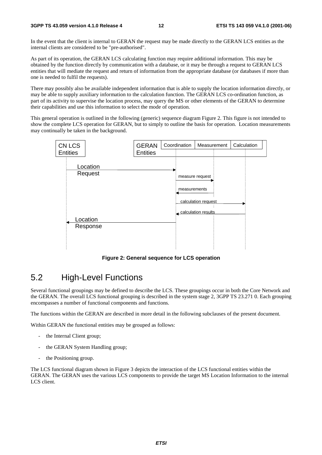In the event that the client is internal to GERAN the request may be made directly to the GERAN LCS entities as the internal clients are considered to be "pre-authorised".

As part of its operation, the GERAN LCS calculating function may require additional information. This may be obtained by the function directly by communication with a database, or it may be through a request to GERAN LCS entities that will mediate the request and return of information from the appropriate database (or databases if more than one is needed to fulfil the requests).

There may possibly also be available independent information that is able to supply the location information directly, or may be able to supply auxiliary information to the calculation function. The GERAN LCS co-ordination function, as part of its activity to supervise the location process, may query the MS or other elements of the GERAN to determine their capabilities and use this information to select the mode of operation.

This general operation is outlined in the following (generic) sequence diagram Figure 2. This figure is not intended to show the complete LCS operation for GERAN, but to simply to outline the basis for operation. Location measurements may continually be taken in the background.



**Figure 2: General sequence for LCS operation**

### 5.2 High-Level Functions

Several functional groupings may be defined to describe the LCS. These groupings occur in both the Core Network and the GERAN. The overall LCS functional grouping is described in the system stage 2, 3GPP TS 23.271 0. Each grouping encompasses a number of functional components and functions.

The functions within the GERAN are described in more detail in the following subclauses of the present document.

Within GERAN the functional entities may be grouped as follows:

- the Internal Client group;
- the GERAN System Handling group;
- the Positioning group.

The LCS functional diagram shown in Figure 3 depicts the interaction of the LCS functional entities within the GERAN. The GERAN uses the various LCS components to provide the target MS Location Information to the internal LCS client.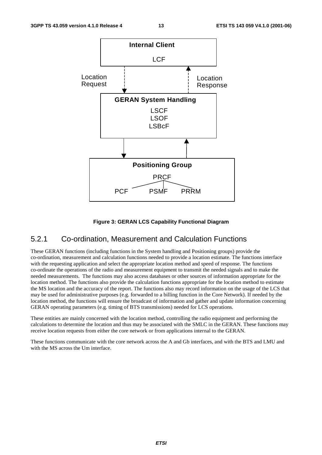

#### **Figure 3: GERAN LCS Capability Functional Diagram**

### 5.2.1 Co-ordination, Measurement and Calculation Functions

These GERAN functions (including functions in the System handling and Positioning groups) provide the co-ordination, measurement and calculation functions needed to provide a location estimate. The functions interface with the requesting application and select the appropriate location method and speed of response. The functions co-ordinate the operations of the radio and measurement equipment to transmit the needed signals and to make the needed measurements. The functions may also access databases or other sources of information appropriate for the location method. The functions also provide the calculation functions appropriate for the location method to estimate the MS location and the accuracy of the report. The functions also may record information on the usage of the LCS that may be used for administrative purposes (e.g. forwarded to a billing function in the Core Network). If needed by the location method, the functions will ensure the broadcast of information and gather and update information concerning GERAN operating parameters (e.g. timing of BTS transmissions) needed for LCS operations.

These entities are mainly concerned with the location method, controlling the radio equipment and performing the calculations to determine the location and thus may be associated with the SMLC in the GERAN. These functions may receive location requests from either the core network or from applications internal to the GERAN.

These functions communicate with the core network across the A and Gb interfaces, and with the BTS and LMU and with the MS across the Um interface.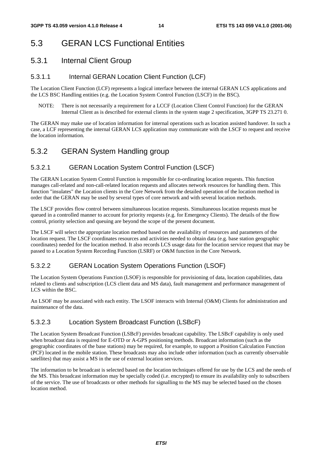### 5.3 GERAN LCS Functional Entities

### 5.3.1 Internal Client Group

#### 5.3.1.1 Internal GERAN Location Client Function (LCF)

The Location Client Function (LCF) represents a logical interface between the internal GERAN LCS applications and the LCS BSC Handling entities (e.g. the Location System Control Function (LSCF) in the BSC).

NOTE: There is not necessarily a requirement for a LCCF (Location Client Control Function) for the GERAN Internal Client as is described for external clients in the system stage 2 specification, 3GPP TS 23.271 0.

The GERAN may make use of location information for internal operations such as location assisted handover. In such a case, a LCF representing the internal GERAN LCS application may communicate with the LSCF to request and receive the location information.

### 5.3.2 GERAN System Handling group

#### 5.3.2.1 GERAN Location System Control Function (LSCF)

The GERAN Location System Control Function is responsible for co-ordinating location requests. This function manages call-related and non-call-related location requests and allocates network resources for handling them. This function "insulates" the Location clients in the Core Network from the detailed operation of the location method in order that the GERAN may be used by several types of core network and with several location methods.

The LSCF provides flow control between simultaneous location requests. Simultaneous location requests must be queued in a controlled manner to account for priority requests (e.g. for Emergency Clients). The details of the flow control, priority selection and queuing are beyond the scope of the present document.

The LSCF will select the appropriate location method based on the availability of resources and parameters of the location request. The LSCF coordinates resources and activities needed to obtain data (e.g. base station geographic coordinates) needed for the location method. It also records LCS usage data for the location service request that may be passed to a Location System Recording Function (LSRF) or O&M function in the Core Network.

#### 5.3.2.2 GERAN Location System Operations Function (LSOF)

The Location System Operations Function (LSOF) is responsible for provisioning of data, location capabilities, data related to clients and subscription (LCS client data and MS data), fault management and performance management of LCS within the BSC.

An LSOF may be associated with each entity. The LSOF interacts with Internal (O&M) Clients for administration and maintenance of the data.

#### 5.3.2.3 Location System Broadcast Function (LSBcF)

The Location System Broadcast Function (LSBcF) provides broadcast capability. The LSBcF capability is only used when broadcast data is required for E-OTD or A-GPS positioning methods. Broadcast information (such as the geographic coordinates of the base stations) may be required, for example, to support a Position Calculation Function (PCF) located in the mobile station. These broadcasts may also include other information (such as currently observable satellites) that may assist a MS in the use of external location services.

The information to be broadcast is selected based on the location techniques offered for use by the LCS and the needs of the MS. This broadcast information may be specially coded (i.e. encrypted) to ensure its availability only to subscribers of the service. The use of broadcasts or other methods for signalling to the MS may be selected based on the chosen location method.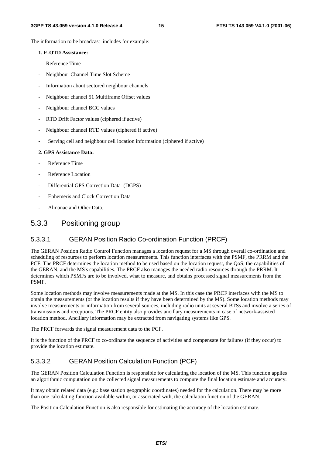The information to be broadcast includes for example:

#### **1. E-OTD Assistance:**

- Reference Time
- Neighbour Channel Time Slot Scheme
- Information about sectored neighbour channels
- Neighbour channel 51 Multiframe Offset values
- Neighbour channel BCC values
- RTD Drift Factor values (ciphered if active)
- Neighbour channel RTD values (ciphered if active)
- Serving cell and neighbour cell location information (ciphered if active)

#### **2. GPS Assistance Data:**

- Reference Time
- Reference Location
- Differential GPS Correction Data (DGPS)
- Ephemeris and Clock Correction Data
- Almanac and Other Data.

### 5.3.3 Positioning group

#### 5.3.3.1 GERAN Position Radio Co-ordination Function (PRCF)

The GERAN Position Radio Control Function manages a location request for a MS through overall co-ordination and scheduling of resources to perform location measurements. This function interfaces with the PSMF, the PRRM and the PCF. The PRCF determines the location method to be used based on the location request, the QoS, the capabilities of the GERAN, and the MS's capabilities. The PRCF also manages the needed radio resources through the PRRM. It determines which PSMFs are to be involved, what to measure, and obtains processed signal measurements from the PSMF.

Some location methods may involve measurements made at the MS. In this case the PRCF interfaces with the MS to obtain the measurements (or the location results if they have been determined by the MS). Some location methods may involve measurements or information from several sources, including radio units at several BTSs and involve a series of transmissions and receptions. The PRCF entity also provides ancillary measurements in case of network-assisted location method. Ancillary information may be extracted from navigating systems like GPS.

The PRCF forwards the signal measurement data to the PCF.

It is the function of the PRCF to co-ordinate the sequence of activities and compensate for failures (if they occur) to provide the location estimate.

#### 5.3.3.2 GERAN Position Calculation Function (PCF)

The GERAN Position Calculation Function is responsible for calculating the location of the MS. This function applies an algorithmic computation on the collected signal measurements to compute the final location estimate and accuracy.

It may obtain related data (e.g.: base station geographic coordinates) needed for the calculation. There may be more than one calculating function available within, or associated with, the calculation function of the GERAN.

The Position Calculation Function is also responsible for estimating the accuracy of the location estimate.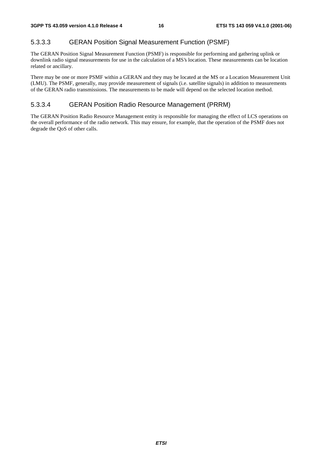#### 5.3.3.3 GERAN Position Signal Measurement Function (PSMF)

The GERAN Position Signal Measurement Function (PSMF) is responsible for performing and gathering uplink or downlink radio signal measurements for use in the calculation of a MS's location. These measurements can be location related or ancillary.

There may be one or more PSMF within a GERAN and they may be located at the MS or a Location Measurement Unit (LMU). The PSMF, generally, may provide measurement of signals (i.e. satellite signals) in addition to measurements of the GERAN radio transmissions. The measurements to be made will depend on the selected location method.

#### 5.3.3.4 GERAN Position Radio Resource Management (PRRM)

The GERAN Position Radio Resource Management entity is responsible for managing the effect of LCS operations on the overall performance of the radio network. This may ensure, for example, that the operation of the PSMF does not degrade the QoS of other calls.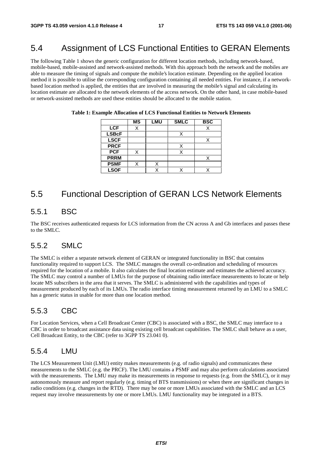### 5.4 Assignment of LCS Functional Entities to GERAN Elements

The following Table 1 shows the generic configuration for different location methods, including network-based, mobile-based, mobile-assisted and network-assisted methods. With this approach both the network and the mobiles are able to measure the timing of signals and compute the mobile's location estimate. Depending on the applied location method it is possible to utilise the corresponding configuration containing all needed entities. For instance, if a networkbased location method is applied, the entities that are involved in measuring the mobile's signal and calculating its location estimate are allocated to the network elements of the access network. On the other hand, in case mobile-based or network-assisted methods are used these entities should be allocated to the mobile station.

|              | <b>MS</b> | <b>LMU</b> | <b>SMLC</b> | <b>BSC</b> |
|--------------|-----------|------------|-------------|------------|
| <b>LCF</b>   |           |            |             |            |
| <b>LSBcF</b> |           |            |             |            |
| <b>LSCF</b>  |           |            |             |            |
| <b>PRCF</b>  |           |            |             |            |
| <b>PCF</b>   | X         |            |             |            |
| <b>PRRM</b>  |           |            |             |            |
| <b>PSMF</b>  |           |            |             |            |
| <b>LSOF</b>  |           |            |             |            |

**Table 1: Example Allocation of LCS Functional Entities to Network Elements** 

### 5.5 Functional Description of GERAN LCS Network Elements

### 5.5.1 BSC

The BSC receives authenticated requests for LCS information from the CN across A and Gb interfaces and passes these to the SMLC.

### 5.5.2 SMLC

The SMLC is either a separate network element of GERAN or integrated functionality in BSC that contains functionality required to support LCS. The SMLC manages the overall co-ordination and scheduling of resources required for the location of a mobile. It also calculates the final location estimate and estimates the achieved accuracy. The SMLC may control a number of LMUs for the purpose of obtaining radio interface measurements to locate or help locate MS subscribers in the area that it serves. The SMLC is administered with the capabilities and types of measurement produced by each of its LMUs. The radio interface timing measurement returned by an LMU to a SMLC has a generic status in usable for more than one location method.

### 5.5.3 CBC

For Location Services, when a Cell Broadcast Center (CBC) is associated with a BSC, the SMLC may interface to a CBC in order to broadcast assistance data using existing cell broadcast capabilities. The SMLC shall behave as a user, Cell Broadcast Entity, to the CBC (refer to 3GPP TS 23.041 0).

#### 5.5.4 LMU

The LCS Measurement Unit (LMU) entity makes measurements (e.g. of radio signals) and communicates these measurements to the SMLC (e.g. the PRCF). The LMU contains a PSMF and may also perform calculations associated with the measurements. The LMU may make its measurements in response to requests (e.g. from the SMLC), or it may autonomously measure and report regularly (e.g. timing of BTS transmissions) or when there are significant changes in radio conditions (e.g. changes in the RTD). There may be one or more LMUs associated with the SMLC and an LCS request may involve measurements by one or more LMUs. LMU functionality may be integrated in a BTS.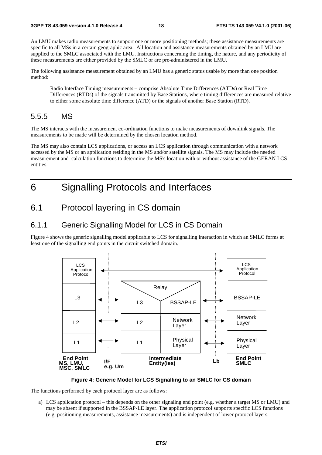An LMU makes radio measurements to support one or more positioning methods; these assistance measurements are specific to all MSs in a certain geographic area. All location and assistance measurements obtained by an LMU are supplied to the SMLC associated with the LMU. Instructions concerning the timing, the nature, and any periodicity of these measurements are either provided by the SMLC or are pre-administered in the LMU.

The following assistance measurement obtained by an LMU has a generic status usable by more than one position method:

Radio Interface Timing measurements – comprise Absolute Time Differences (ATDs) or Real Time Differences (RTDs) of the signals transmitted by Base Stations, where timing differences are measured relative to either some absolute time difference (ATD) or the signals of another Base Station (RTD).

### 5.5.5 MS

The MS interacts with the measurement co-ordination functions to make measurements of downlink signals. The measurements to be made will be determined by the chosen location method.

The MS may also contain LCS applications, or access an LCS application through communication with a network accessed by the MS or an application residing in the MS and/or satellite signals. The MS may include the needed measurement and calculation functions to determine the MS's location with or without assistance of the GERAN LCS entities.

### 6 Signalling Protocols and Interfaces

### 6.1 Protocol layering in CS domain

### 6.1.1 Generic Signalling Model for LCS in CS Domain

Figure 4 shows the generic signalling model applicable to LCS for signalling interaction in which an SMLC forms at least one of the signalling end points in the circuit switched domain.



**Figure 4: Generic Model for LCS Signalling to an SMLC for CS domain** 

The functions performed by each protocol layer are as follows:

a) LCS application protocol – this depends on the other signaling end point (e.g. whether a target MS or LMU) and may be absent if supported in the BSSAP-LE layer. The application protocol supports specific LCS functions (e.g. positioning measurements, assistance measurements) and is independent of lower protocol layers.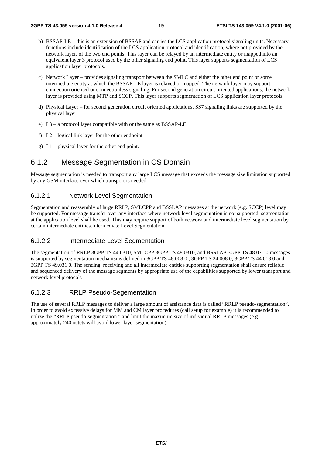- b) BSSAP-LE this is an extension of BSSAP and carries the LCS application protocol signaling units. Necessary functions include identification of the LCS application protocol and identification, where not provided by the network layer, of the two end points. This layer can be relayed by an intermediate entity or mapped into an equivalent layer 3 protocol used by the other signaling end point. This layer supports segmentation of LCS application layer protocols.
- c) Network Layer provides signaling transport between the SMLC and either the other end point or some intermediate entity at which the BSSAP-LE layer is relayed or mapped. The network layer may support connection oriented or connectionless signaling. For second generation circuit oriented applications, the network layer is provided using MTP and SCCP. This layer supports segmentation of LCS application layer protocols.
- d) Physical Layer for second generation circuit oriented applications, SS7 signaling links are supported by the physical layer.
- e) L3 a protocol layer compatible with or the same as BSSAP-LE.
- f) L2 logical link layer for the other endpoint
- g) L1 physical layer for the other end point.

### 6.1.2 Message Segmentation in CS Domain

Message segmentation is needed to transport any large LCS message that exceeds the message size limitation supported by any GSM interface over which transport is needed.

#### 6.1.2.1 Network Level Segmentation

Segmentation and reassembly of large RRLP, SMLCPP and BSSLAP messages at the network (e.g. SCCP) level may be supported. For message transfer over any interface where network level segmentation is not supported, segmentation at the application level shall be used. This may require support of both network and intermediate level segmentation by certain intermediate entities.Intermediate Level Segmentation

#### 6.1.2.2 Intermediate Level Segmentation

The segmentation of RRLP 3GPP TS 44.0310, SMLCPP 3GPP TS 48.0310, and BSSLAP 3GPP TS 48.071 0 messages is supported by segmentation mechanisms defined in 3GPP TS 48.008 0, 3GPP TS 24.008 0, 3GPP TS 44.018 0 and 3GPP TS 49.031 0. The sending, receiving and all intermediate entities supporting segmentation shall ensure reliable and sequenced delivery of the message segments by appropriate use of the capabilities supported by lower transport and network level protocols

#### 6.1.2.3 RRLP Pseudo-Segementation

The use of several RRLP messages to deliver a large amount of assistance data is called "RRLP pseudo-segmentation". In order to avoid excessive delays for MM and CM layer procedures (call setup for example) it is recommended to utilize the "RRLP pseudo-segmentation " and limit the maximum size of individual RRLP messages (e.g. approximately 240 octets will avoid lower layer segmentation).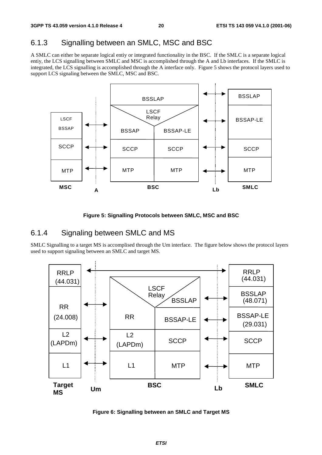### 6.1.3 Signalling between an SMLC, MSC and BSC

A SMLC can either be separate logical entiy or integrated functionality in the BSC. If the SMLC is a separate logical entiy, the LCS signalling between SMLC and MSC is accomplished through the A and Lb interfaces. If the SMLC is integrated, the LCS signalling is accomplished through the A interface only. Figure 5 shows the protocol layers used to support LCS signaling between the SMLC, MSC and BSC.



**Figure 5: Signalling Protocols between SMLC, MSC and BSC** 

### 6.1.4 Signaling between SMLC and MS

SMLC Signalling to a target MS is accomplised through the Um interface. The figure below shows the protocol layers used to support signaling between an SMLC and target MS.



**Figure 6: Signalling between an SMLC and Target MS**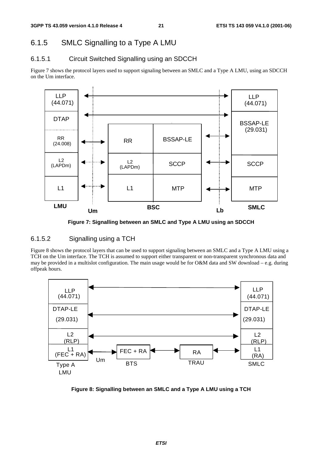### 6.1.5 SMLC Signalling to a Type A LMU

### 6.1.5.1 Circuit Switched Signalling using an SDCCH

Figure 7 shows the protocol layers used to support signaling between an SMLC and a Type A LMU, using an SDCCH on the Um interface.



**Figure 7: Signalling between an SMLC and Type A LMU using an SDCCH** 

#### 6.1.5.2 Signalling using a TCH

Figure 8 shows the protocol layers that can be used to support signaling between an SMLC and a Type A LMU using a TCH on the Um interface. The TCH is assumed to support either transparent or non-transparent synchronous data and may be provided in a multislot configuration. The main usage would be for O&M data and SW download – e.g. during offpeak hours.



**Figure 8: Signalling between an SMLC and a Type A LMU using a TCH**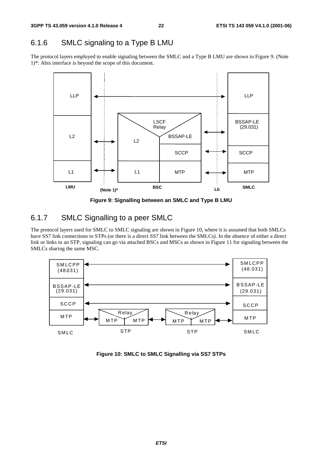### 6.1.6 SMLC signaling to a Type B LMU

The protocol layers employed to enable signaling between the SMLC and a Type B LMU are shown in Figure 9. (Note 1)\*: Abis interface is beyond the scope of this document.



**Figure 9: Signalling between an SMLC and Type B LMU** 

### 6.1.7 SMLC Signalling to a peer SMLC

The protocol layers used for SMLC to SMLC signaling are shown in Figure 10, where it is assumed that both SMLCs have SS7 link connections to STPs (or there is a direct SS7 link between the SMLCs). In the absence of either a direct link or links to an STP, signaling can go via attached BSCs and MSCs as shown in Figure 11 for signaling between the SMLCs sharing the same MSC.



**Figure 10: SMLC to SMLC Signalling via SS7 STPs**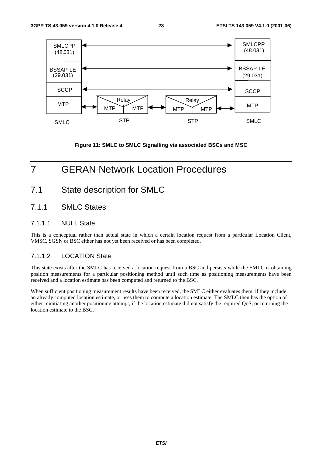

**Figure 11: SMLC to SMLC Signalling via associated BSCs and MSC** 

### 7 GERAN Network Location Procedures

### 7.1 State description for SMLC

#### 7.1.1 SMLC States

#### 7.1.1.1 NULL State

This is a conceptual rather than actual state in which a certain location request from a particular Location Client, VMSC, SGSN or BSC either has not yet been received or has been completed.

#### 7.1.1.2 LOCATION State

This state exists after the SMLC has received a location request from a BSC and persists while the SMLC is obtaining position measurements for a particular positioning method until such time as positioning measurements have been received and a location estimate has been computed and returned to the BSC.

When sufficient positioning measurement results have been received, the SMLC either evaluates them, if they include an already computed location estimate, or uses them to compute a location estimate. The SMLC then has the option of either reinitiating another positioning attempt, if the location estimate did not satisfy the required QoS, or returning the location estimate to the BSC.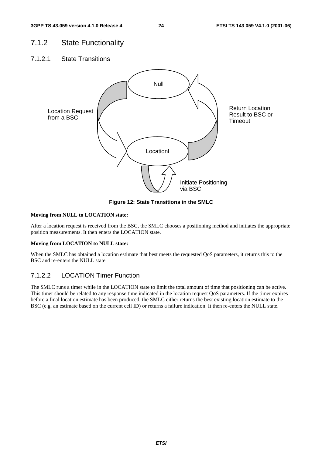### 7.1.2 State Functionality

7.1.2.1 State Transitions



**Figure 12: State Transitions in the SMLC** 

#### **Moving from NULL to LOCATION state:**

After a location request is received from the BSC, the SMLC chooses a positioning method and initiates the appropriate position measurements. It then enters the LOCATION state.

#### **Moving from LOCATION to NULL state:**

When the SMLC has obtained a location estimate that best meets the requested QoS parameters, it returns this to the BSC and re-enters the NULL state.

#### 7.1.2.2 LOCATION Timer Function

The SMLC runs a timer while in the LOCATION state to limit the total amount of time that positioning can be active. This timer should be related to any response time indicated in the location request QoS parameters. If the timer expires before a final location estimate has been produced, the SMLC either returns the best existing location estimate to the BSC (e.g. an estimate based on the current cell ID) or returns a failure indication. It then re-enters the NULL state.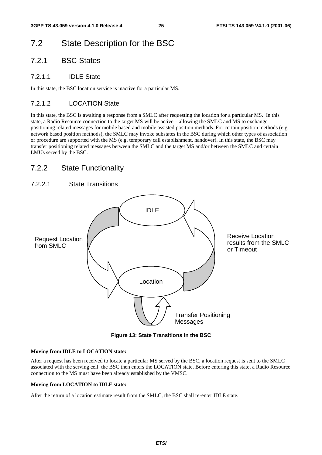### 7.2 State Description for the BSC

### 7.2.1 BSC States

#### 7.2.1.1 IDLE State

In this state, the BSC location service is inactive for a particular MS.

### 7.2.1.2 LOCATION State

In this state, the BSC is awaiting a response from a SMLC after requesting the location for a particular MS. In this state, a Radio Resource connection to the target MS will be active – allowing the SMLC and MS to exchange positioning related messages for mobile based and mobile assisted position methods. For certain position methods (e.g. network based position methods), the SMLC may invoke substates in the BSC during which other types of association or procedure are supported with the MS (e.g. temporary call establishment, handover). In this state, the BSC may transfer positioning related messages between the SMLC and the target MS and/or between the SMLC and certain LMUs served by the BSC.

### 7.2.2 State Functionality

### 7.2.2.1 State Transitions



**Figure 13: State Transitions in the BSC** 

#### **Moving from IDLE to LOCATION state:**

After a request has been received to locate a particular MS served by the BSC, a location request is sent to the SMLC associated with the serving cell: the BSC then enters the LOCATION state. Before entering this state, a Radio Resource connection to the MS must have been already established by the VMSC.

#### **Moving from LOCATION to IDLE state:**

After the return of a location estimate result from the SMLC, the BSC shall re-enter IDLE state.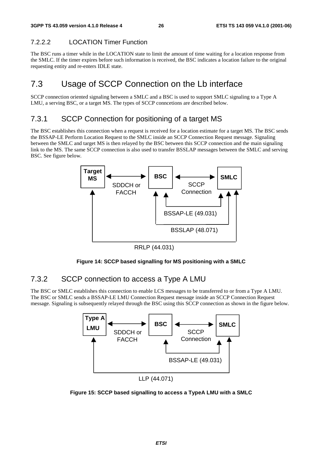### 7.2.2.2 LOCATION Timer Function

The BSC runs a timer while in the LOCATION state to limit the amount of time waiting for a location response from the SMLC. If the timer expires before such information is received, the BSC indicates a location failure to the original requesting entity and re-enters IDLE state.

### 7.3 Usage of SCCP Connection on the Lb interface

SCCP connection oriented signaling between a SMLC and a BSC is used to support SMLC signaling to a Type A LMU, a serving BSC, or a target MS. The types of SCCP conncetions are described below.

### 7.3.1 SCCP Connection for positioning of a target MS

The BSC establishes this connection when a request is received for a location estimate for a target MS. The BSC sends the BSSAP-LE Perform Location Request to the SMLC inside an SCCP Connection Request message. Signaling between the SMLC and target MS is then relayed by the BSC between this SCCP connection and the main signaling link to the MS. The same SCCP connection is also used to transfer BSSLAP messages between the SMLC and serving BSC. See figure below.



RRLP (44.031)



### 7.3.2 SCCP connection to access a Type A LMU

The BSC or SMLC establishes this connection to enable LCS messages to be transferred to or from a Type A LMU. The BSC or SMLC sends a BSSAP-LE LMU Connection Request message inside an SCCP Connection Request message. Signaling is subsequently relayed through the BSC using this SCCP connection as shown in the figure below.



**Figure 15: SCCP based signalling to access a TypeA LMU with a SMLC**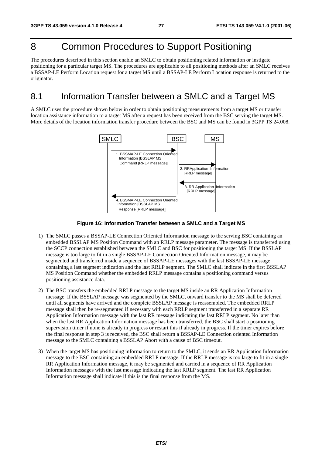### 8 Common Procedures to Support Positioning

The procedures described in this section enable an SMLC to obtain positioning related information or instigate positioning for a particular target MS. The procedures are applicable to all positioning methods after an SMLC receives a BSSAP-LE Perform Location request for a target MS until a BSSAP-LE Perform Location response is returned to the originator.

### 8.1 Information Transfer between a SMLC and a Target MS

A SMLC uses the procedure shown below in order to obtain positioning measurements from a target MS or transfer location assistance information to a target MS after a request has been received from the BSC serving the target MS. More details of the location information transfer procedure between the BSC and MS can be found in 3GPP TS 24.008.



**Figure 16: Information Transfer between a SMLC and a Target MS** 

- 1) The SMLC passes a BSSAP-LE Connection Oriented Information message to the serving BSC containing an embedded BSSLAP MS Position Command with an RRLP message parameter. The message is transferred using the SCCP connection established between the SMLC and BSC for positioning the target MS If the BSSLAP message is too large to fit in a single BSSAP-LE Connection Oriented Information message, it may be segmented and transferred inside a sequence of BSSAP-LE messages with the last BSSAP-LE message containing a last segment indication and the last RRLP segment. The SMLC shall indicate in the first BSSLAP MS Position Command whether the embedded RRLP message contains a positioning command versus positioning assistance data.
- 2) The BSC transfers the embedded RRLP message to the target MS inside an RR Application Information message. If the BSSLAP message was segmented by the SMLC, onward transfer to the MS shall be deferred until all segments have arrived and the complete BSSLAP message is reassembled. The embedded RRLP message shall then be re-segmented if necessary with each RRLP segment transferred in a separate RR Application Information message with the last RR message indicating the last RRLP segment. No later than when the last RR Application Information message has been transferred, the BSC shall start a positioning supervision timer if none is already in progress or restart this if already in progress. If the timer expires before the final response in step 3 is received, the BSC shall return a BSSAP-LE Connection oriented Information message to the SMLC containing a BSSLAP Abort with a cause of BSC timeout.
- 3) When the target MS has positioning information to return to the SMLC, it sends an RR Application Information message to the BSC containing an embedded RRLP message. If the RRLP message is too large to fit in a single RR Application Information message, it may be segmented and carried in a sequence of RR Application Information messages with the last message indicating the last RRLP segment. The last RR Application Information message shall indicate if this is the final response from the MS.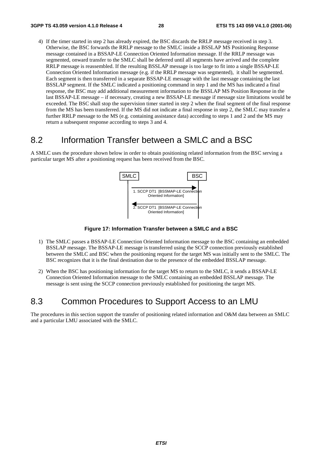4) If the timer started in step 2 has already expired, the BSC discards the RRLP message received in step 3. Otherwise, the BSC forwards the RRLP message to the SMLC inside a BSSLAP MS Positioning Response message contained in a BSSAP-LE Connection Oriented Information message. If the RRLP message was segmented, onward transfer to the SMLC shall be deferred until all segments have arrived and the complete RRLP message is reassembled. If the resulting BSSLAP message is too large to fit into a single BSSAP-LE Connection Oriented Information message (e.g. if the RRLP message was segmented), it shall be segmented. Each segment is then transferred in a separate BSSAP-LE message with the last message containing the last BSSLAP segment. If the SMLC indicated a positioning command in step 1 and the MS has indicated a final response, the BSC may add additional measurement information to the BSSLAP MS Position Response in the last BSSAP-LE message – if necessary, creating a new BSSAP-LE message if message size limitations would be exceeded. The BSC shall stop the supervision timer started in step 2 when the final segment of the final response from the MS has been transferred. If the MS did not indicate a final response in step 2, the SMLC may transfer a further RRLP message to the MS (e.g. containing assistance data) according to steps 1 and 2 and the MS may return a subsequent response according to steps 3 and 4.

### 8.2 Information Transfer between a SMLC and a BSC

A SMLC uses the procedure shown below in order to obtain positioning related information from the BSC serving a particular target MS after a positioning request has been received from the BSC.



**Figure 17: Information Transfer between a SMLC and a BSC** 

- 1) The SMLC passes a BSSAP-LE Connection Oriented Information message to the BSC containing an embedded BSSLAP message. The BSSAP-LE message is transferred using the SCCP connection previously established between the SMLC and BSC when the positioning request for the target MS was initially sent to the SMLC. The BSC recognizes that it is the final destination due to the presence of the embedded BSSLAP message.
- 2) When the BSC has positioning information for the target MS to return to the SMLC, it sends a BSSAP-LE Connection Oriented Information message to the SMLC containing an embedded BSSLAP message. The message is sent using the SCCP connection previously established for positioning the target MS.

### 8.3 Common Procedures to Support Access to an LMU

The procedures in this section support the transfer of positioning related information and O&M data between an SMLC and a particular LMU associated with the SMLC.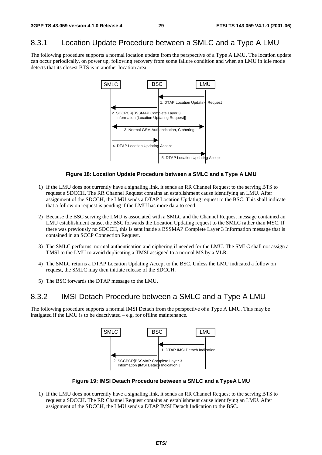### 8.3.1 Location Update Procedure between a SMLC and a Type A LMU

The following procedure supports a normal location update from the perspective of a Type A LMU. The location update can occur periodically, on power up, following recovery from some failure condition and when an LMU in idle mode detects that its closest BTS is in another location area.



#### **Figure 18: Location Update Procedure between a SMLC and a Type A LMU**

- 1) If the LMU does not currently have a signaling link, it sends an RR Channel Request to the serving BTS to request a SDCCH. The RR Channel Request contains an establishment cause identifying an LMU. After assignment of the SDCCH, the LMU sends a DTAP Location Updating request to the BSC. This shall indicate that a follow on request is pending if the LMU has more data to send.
- 2) Because the BSC serving the LMU is associated with a SMLC and the Channel Request message contained an LMU establishment cause, the BSC forwards the Location Updating request to the SMLC rather than MSC. If there was previously no SDCCH, this is sent inside a BSSMAP Complete Layer 3 Information message that is contained in an SCCP Connection Request.
- 3) The SMLC performs normal authentication and ciphering if needed for the LMU. The SMLC shall not assign a TMSI to the LMU to avoid duplicating a TMSI assigned to a normal MS by a VLR.
- 4) The SMLC returns a DTAP Location Updating Accept to the BSC. Unless the LMU indicated a follow on request, the SMLC may then initiate release of the SDCCH.
- 5) The BSC forwards the DTAP message to the LMU.

### 8.3.2 IMSI Detach Procedure between a SMLC and a Type A LMU

The following procedure supports a normal IMSI Detach from the perspective of a Type A LMU. This may be instigated if the LMU is to be deactivated – e.g. for offline maintenance.



#### **Figure 19: IMSI Detach Procedure between a SMLC and a TypeA LMU**

1) If the LMU does not currently have a signaling link, it sends an RR Channel Request to the serving BTS to request a SDCCH. The RR Channel Request contains an establishment cause identifying an LMU. After assignment of the SDCCH, the LMU sends a DTAP IMSI Detach Indication to the BSC.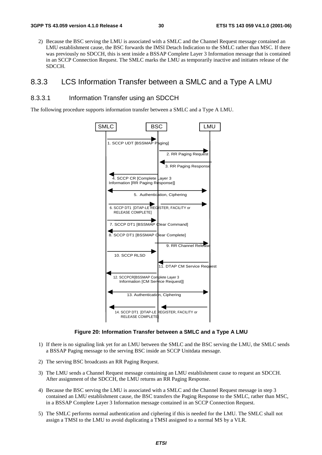2) Because the BSC serving the LMU is associated with a SMLC and the Channel Request message contained an LMU establishment cause, the BSC forwards the IMSI Detach Indication to the SMLC rather than MSC. If there was previously no SDCCH, this is sent inside a BSSAP Complete Layer 3 Information message that is contained in an SCCP Connection Request. The SMLC marks the LMU as temporarily inactive and initiates release of the SDCCH.

### 8.3.3 LCS Information Transfer between a SMLC and a Type A LMU

#### 8.3.3.1 Information Transfer using an SDCCH

The following procedure supports information transfer between a SMLC and a Type A LMU.



**Figure 20: Information Transfer between a SMLC and a Type A LMU** 

- 1) If there is no signaling link yet for an LMU between the SMLC and the BSC serving the LMU, the SMLC sends a BSSAP Paging message to the serving BSC inside an SCCP Unitdata message.
- 2) The serving BSC broadcasts an RR Paging Request.
- 3) The LMU sends a Channel Request message containing an LMU establishment cause to request an SDCCH. After assignment of the SDCCH, the LMU returns an RR Paging Response.
- 4) Because the BSC serving the LMU is associated with a SMLC and the Channel Request message in step 3 contained an LMU establishment cause, the BSC transfers the Paging Response to the SMLC, rather than MSC, in a BSSAP Complete Layer 3 Information message contained in an SCCP Connection Request.
- 5) The SMLC performs normal authentication and ciphering if this is needed for the LMU. The SMLC shall not assign a TMSI to the LMU to avoid duplicating a TMSI assigned to a normal MS by a VLR.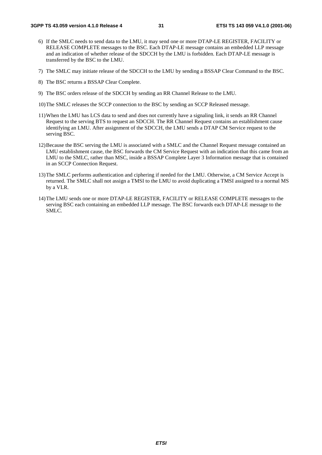- 6) If the SMLC needs to send data to the LMU, it may send one or more DTAP-LE REGISTER, FACILITY or RELEASE COMPLETE messages to the BSC. Each DTAP-LE message contains an embedded LLP message and an indication of whether release of the SDCCH by the LMU is forbidden. Each DTAP-LE message is transferred by the BSC to the LMU.
- 7) The SMLC may initiate release of the SDCCH to the LMU by sending a BSSAP Clear Command to the BSC.
- 8) The BSC returns a BSSAP Clear Complete.
- 9) The BSC orders release of the SDCCH by sending an RR Channel Release to the LMU.
- 10) The SMLC releases the SCCP connection to the BSC by sending an SCCP Released message.
- 11) When the LMU has LCS data to send and does not currently have a signaling link, it sends an RR Channel Request to the serving BTS to request an SDCCH. The RR Channel Request contains an establishment cause identifying an LMU. After assignment of the SDCCH, the LMU sends a DTAP CM Service request to the serving BSC.
- 12) Because the BSC serving the LMU is associated with a SMLC and the Channel Request message contained an LMU establishment cause, the BSC forwards the CM Service Request with an indication that this came from an LMU to the SMLC, rather than MSC, inside a BSSAP Complete Layer 3 Information message that is contained in an SCCP Connection Request.
- 13) The SMLC performs authentication and ciphering if needed for the LMU. Otherwise, a CM Service Accept is returned. The SMLC shall not assign a TMSI to the LMU to avoid duplicating a TMSI assigned to a normal MS by a VLR.
- 14) The LMU sends one or more DTAP-LE REGISTER, FACILITY or RELEASE COMPLETE messages to the serving BSC each containing an embedded LLP message. The BSC forwards each DTAP-LE message to the SMLC.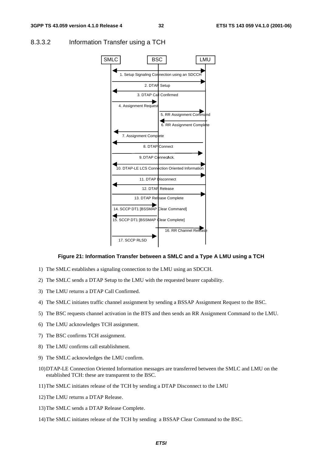

#### 8.3.3.2 Information Transfer using a TCH

#### **Figure 21: Information Transfer between a SMLC and a Type A LMU using a TCH**

- 1) The SMLC establishes a signaling connection to the LMU using an SDCCH.
- 2) The SMLC sends a DTAP Setup to the LMU with the requested bearer capability.
- 3) The LMU returns a DTAP Call Confirmed.
- 4) The SMLC initiates traffic channel assignment by sending a BSSAP Assignment Request to the BSC.
- 5) The BSC requests channel activation in the BTS and then sends an RR Assignment Command to the LMU.
- 6) The LMU acknowledges TCH assignment.
- 7) The BSC confirms TCH assignment.
- 8) The LMU confirms call establishment.
- 9) The SMLC acknowledges the LMU confirm.
- 10) DTAP-LE Connection Oriented Information messages are transferred between the SMLC and LMU on the established TCH: these are transparent to the BSC.
- 11) The SMLC initiates release of the TCH by sending a DTAP Disconnect to the LMU
- 12) The LMU returns a DTAP Release.
- 13) The SMLC sends a DTAP Release Complete.
- 14) The SMLC initiates release of the TCH by sending a BSSAP Clear Command to the BSC.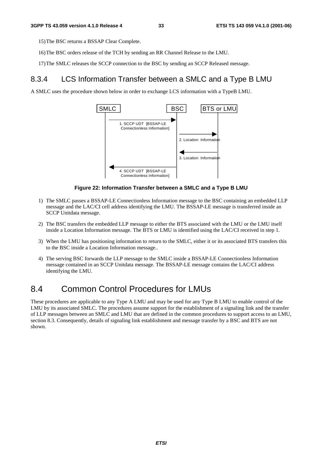15) The BSC returns a BSSAP Clear Complete.

- 16) The BSC orders release of the TCH by sending an RR Channel Release to the LMU.
- 17) The SMLC releases the SCCP connection to the BSC by sending an SCCP Released message.

### 8.3.4 LCS Information Transfer between a SMLC and a Type B LMU

A SMLC uses the procedure shown below in order to exchange LCS information with a TypeB LMU.



#### **Figure 22: Information Transfer between a SMLC and a Type B LMU**

- 1) The SMLC passes a BSSAP-LE Connectionless Information message to the BSC containing an embedded LLP message and the LAC/CI cell address identifying the LMU. The BSSAP-LE message is transferred inside an SCCP Unitdata message.
- 2) The BSC transfers the embedded LLP message to either the BTS associated with the LMU or the LMU itself inside a Location Information message. The BTS or LMU is identified using the LAC/CI received in step 1.
- 3) When the LMU has positioning information to return to the SMLC, either it or its associated BTS transfers this to the BSC inside a Location Information message..
- 4) The serving BSC forwards the LLP message to the SMLC inside a BSSAP-LE Connectionless Information message contained in an SCCP Unitdata message. The BSSAP-LE message contains the LAC/CI address identifying the LMU.

### 8.4 Common Control Procedures for LMUs

These procedures are applicable to any Type A LMU and may be used for any Type B LMU to enable control of the LMU by its associated SMLC. The procedures assume support for the establishment of a signaling link and the transfer of LLP messages between an SMLC and LMU that are defined in the common procedures to support access to an LMU, section 8.3. Consequently, details of signaling link establishment and message transfer by a BSC and BTS are not shown.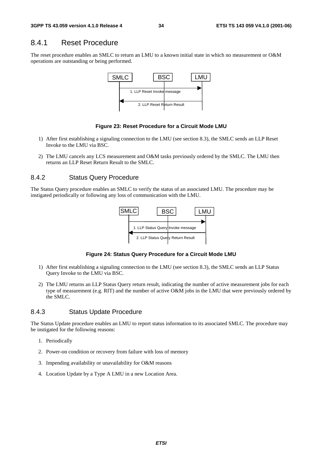### 8.4.1 Reset Procedure

The reset procedure enables an SMLC to return an LMU to a known initial state in which no measurement or O&M operations are outstanding or being performed.



#### **Figure 23: Reset Procedure for a Circuit Mode LMU**

- 1) After first establishing a signaling connection to the LMU (see section 8.3), the SMLC sends an LLP Reset Invoke to the LMU via BSC.
- 2) The LMU cancels any LCS measurement and O&M tasks previously ordered by the SMLC. The LMU then returns an LLP Reset Return Result to the SMLC.

#### 8.4.2 Status Query Procedure

The Status Query procedure enables an SMLC to verify the status of an associated LMU. The procedure may be instigated periodically or following any loss of communication with the LMU.



#### **Figure 24: Status Query Procedure for a Circuit Mode LMU**

- 1) After first establishing a signaling connection to the LMU (see section 8.3), the SMLC sends an LLP Status Query Invoke to the LMU via BSC.
- 2) The LMU returns an LLP Status Query return result, indicating the number of active measurement jobs for each type of measurement (e.g. RIT) and the number of active O&M jobs in the LMU that were previously ordered by the SMLC.

#### 8.4.3 Status Update Procedure

The Status Update procedure enables an LMU to report status information to its associated SMLC. The procedure may be instigated for the following reasons:

- 1. Periodically
- 2. Power-on condition or recovery from failure with loss of memory
- 3. Impending availability or unavailability for O&M reasons
- 4. Location Update by a Type A LMU in a new Location Area.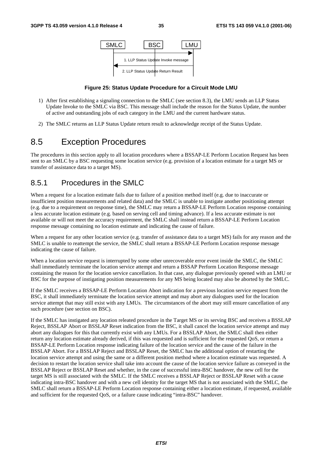

#### **Figure 25: Status Update Procedure for a Circuit Mode LMU**

- 1) After first establishing a signaling connection to the SMLC (see section 8.3), the LMU sends an LLP Status Update Invoke to the SMLC via BSC. This message shall include the reason for the Status Update, the number of active and outstanding jobs of each category in the LMU and the current hardware status.
- 2) The SMLC returns an LLP Status Update return result to acknowledge receipt of the Status Update.

### 8.5 Exception Procedures

The procedures in this section apply to all location procedures where a BSSAP-LE Perform Location Request has been sent to an SMLC by a BSC requesting some location service (e.g. provision of a location estimate for a target MS or transfer of assistance data to a target MS).

### 8.5.1 Procedures in the SMLC

When a request for a location estimate fails due to failure of a position method itself (e.g. due to inaccurate or insufficient position measurements and related data) and the SMLC is unable to instigate another positioning attempt (e.g. due to a requirement on response time), the SMLC may return a BSSAP-LE Perform Location response containing a less accurate location estimate (e.g. based on serving cell and timing advance). If a less accurate estimate is not available or will not meet the accuracy requirement, the SMLC shall instead return a BSSAP-LE Perform Location response message containing no location estimate and indicating the cause of failure.

When a request for any other location service (e.g. transfer of assistance data to a target MS) fails for any reason and the SMLC is unable to reattempt the service, the SMLC shall return a BSSAP-LE Perform Location response message indicating the cause of failure.

When a location service request is interrupted by some other unrecoverable error event inside the SMLC, the SMLC shall immediately terminate the location service attempt and return a BSSAP Perform Location Response message containing the reason for the location service cancellation. In that case, any dialogue previously opened with an LMU or BSC for the purpose of instigating position measurements for any MS being located may also be aborted by the SMLC.

If the SMLC receives a BSSAP-LE Perform Location Abort indication for a previous location service request from the BSC, it shall immediately terminate the location service attempt and may abort any dialogues used for the location service attempt that may still exist with any LMUs. The circumstances of the abort may still ensure cancellation of any such procedure (see section on BSC).

If the SMLC has instigated any location releated procedure in the Target MS or its serving BSC and receives a BSSLAP Reject, BSSLAP Abort or BSSLAP Reset indication from the BSC, it shall cancel the location service attempt and may abort any dialogues for this that currently exist with any LMUs. For a BSSLAP Abort, the SMLC shall then either return any location estimate already derived, if this was requested and is sufficient for the requested QoS, or return a BSSAP-LE Perform Location response indicating failure of the location service and the cause of the failure in the BSSLAP Abort. For a BSSLAP Reject and BSSLAP Reset, the SMLC has the additional option of restarting the location service attempt and using the same or a different position method where a location estimate was requested. A decision to restart the location service shall take into account the cause of the location service failure as conveyed in the BSSLAP Reject or BSSLAP Reset and whether, in the case of successful intra-BSC handover, the new cell for the target MS is still associated with the SMLC. If the SMLC receives a BSSLAP Reject or BSSLAP Reset with a cause indicating intra-BSC handover and with a new cell identity for the target MS that is not associated with the SMLC, the SMLC shall return a BSSAP-LE Perform Location response containing either a location estimate, if requested, available and sufficient for the requested QoS, or a failure cause indicating "intra-BSC" handover.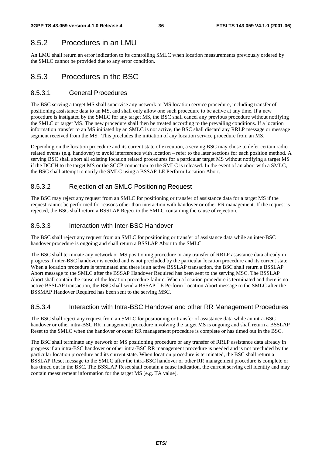### 8.5.2 Procedures in an LMU

An LMU shall return an error indication to its controlling SMLC when location measurements previously ordered by the SMLC cannot be provided due to any error condition.

### 8.5.3 Procedures in the BSC

#### 8.5.3.1 General Procedures

The BSC serving a target MS shall supervise any network or MS location service procedure, including transfer of positioning assistance data to an MS, and shall only allow one such procedure to be active at any time. If a new procedure is instigated by the SMLC for any target MS, the BSC shall cancel any previous procedure without notifying the SMLC or target MS. The new procedure shall then be treated according to the prevailing conditions. If a location information transfer to an MS initiated by an SMLC is not active, the BSC shall discard any RRLP message or message segment received from the MS. This precludes the initiation of any location service procedure from an MS.

Depending on the location procedure and its current state of execution, a serving BSC may chose to defer certain radio related events (e.g. handover) to avoid interference with location – refer to the later sections for each position method. A serving BSC shall abort all existing location related procedures for a particular target MS without notifying a target MS if the DCCH to the target MS or the SCCP connection to the SMLC is released. In the event of an abort with a SMLC, the BSC shall attempt to notify the SMLC using a BSSAP-LE Perform Location Abort.

### 8.5.3.2 Rejection of an SMLC Positioning Request

The BSC may reject any request from an SMLC for positioning or transfer of assistance data for a target MS if the request cannot be performed for reasons other than interaction with handover or other RR management. If the request is rejected, the BSC shall return a BSSLAP Reject to the SMLC containing the cause of rejection.

#### 8.5.3.3 Interaction with Inter-BSC Handover

The BSC shall reject any request from an SMLC for positioning or transfer of assistance data while an inter-BSC handover procedure is ongoing and shall return a BSSLAP Abort to the SMLC.

The BSC shall terminate any network or MS positioning procedure or any transfer of RRLP assistance data already in progress if inter-BSC handover is needed and is not precluded by the particular location procedure and its current state. When a location procedure is terminated and there is an active BSSLAP transaction, the BSC shall return a BSSLAP Abort message to the SMLC after the BSSAP Handover Required has been sent to the serving MSC. The BSSLAP Abort shall contain the cause of the location procedure failure. When a location procedure is terminated and there is no active BSSLAP transaction, the BSC shall send a BSSAP-LE Perform Location Abort message to the SMLC after the BSSMAP Handover Required has been sent to the serving MSC.

#### 8.5.3.4 Interaction with Intra-BSC Handover and other RR Management Procedures

The BSC shall reject any request from an SMLC for positioning or transfer of assistance data while an intra-BSC handover or other intra-BSC RR management procedure involving the target MS is ongoing and shall return a BSSLAP Reset to the SMLC when the handover or other RR management procedure is complete or has timed out in the BSC.

The BSC shall terminate any network or MS positioning procedure or any transfer of RRLP assistance data already in progress if an intra-BSC handover or other intra-BSC RR management procedure is needed and is not precluded by the particular location procedure and its current state. When location procedure is terminated, the BSC shall return a BSSLAP Reset message to the SMLC after the intra-BSC handover or other RR management procedure is complete or has timed out in the BSC. The BSSLAP Reset shall contain a cause indication, the current serving cell identity and may contain measurement information for the target MS (e.g. TA value).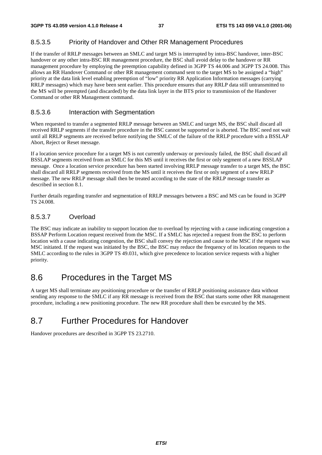### 8.5.3.5 Priority of Handover and Other RR Management Procedures

If the transfer of RRLP messages between an SMLC and target MS is interrupted by intra-BSC handover, inter-BSC handover or any other intra-BSC RR management procedure, the BSC shall avoid delay to the handover or RR management procedure by employing the preemption capability defined in 3GPP TS 44.006 and 3GPP TS 24.008. This allows an RR Handover Command or other RR management command sent to the target MS to be assigned a "high" priority at the data link level enabling preemption of "low" priority RR Application Information messages (carrying RRLP messages) which may have been sent earlier. This procedure ensures that any RRLP data still untransmitted to the MS will be preempted (and discarded) by the data link layer in the BTS prior to transmission of the Handover Command or other RR Management command.

#### 8.5.3.6 Interaction with Segmentation

When requested to transfer a segmented RRLP message between an SMLC and target MS, the BSC shall discard all received RRLP segments if the transfer procedure in the BSC cannot be supported or is aborted. The BSC need not wait until all RRLP segments are received before notifying the SMLC of the failure of the RRLP procedure with a BSSLAP Abort, Reject or Reset message.

If a location service procedure for a target MS is not currently underway or previously failed, the BSC shall discard all BSSLAP segments received from an SMLC for this MS until it receives the first or only segment of a new BSSLAP message. Once a location service procedure has been started involving RRLP message transfer to a target MS, the BSC shall discard all RRLP segments received from the MS until it receives the first or only segment of a new RRLP message. The new RRLP message shall then be treated according to the state of the RRLP message transfer as described in section 8.1.

Further details regarding transfer and segmentation of RRLP messages between a BSC and MS can be found in 3GPP TS 24.008.

#### 8.5.3.7 Overload

The BSC may indicate an inability to support location due to overload by rejecting with a cause indicating congestion a BSSAP Perform Location request received from the MSC. If a SMLC has rejected a request from the BSC to perform location with a cause indicating congestion, the BSC shall convey the rejection and cause to the MSC if the request was MSC initiated. If the request was initiated by the BSC, the BSC may reduce the frequency of its location requests to the SMLC according to the rules in 3GPP TS 49.031, which give precedence to location service requests with a higher priority.

### 8.6 Procedures in the Target MS

A target MS shall terminate any positioning procedure or the transfer of RRLP positioning assistance data without sending any response to the SMLC if any RR message is received from the BSC that starts some other RR management procedure, including a new positioning procedure. The new RR procedure shall then be executed by the MS.

### 8.7 Further Procedures for Handover

Handover procedures are described in 3GPP TS 23.2710.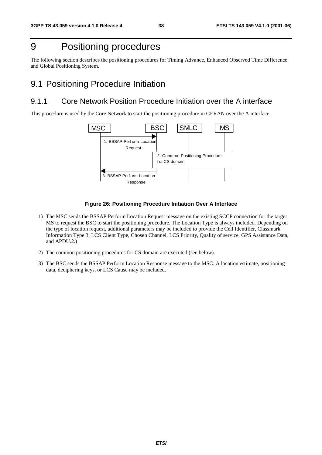### 9 Positioning procedures

The following section describes the positioning procedures for Timing Advance, Enhanced Observed Time Difference and Global Positioning System.

### 9.1 Positioning Procedure Initiation

### 9.1.1 Core Network Position Procedure Initiation over the A interface

This procedure is used by the Core Network to start the positioning procedure in GERAN over the A interface.



#### **Figure 26: Positioning Procedure Initiation Over A Interface**

- 1) The MSC sends the BSSAP Perform Location Request message on the existing SCCP connection for the target MS to request the BSC to start the positioning procedure. The Location Type is always included. Depending on the type of location request, additional parameters may be included to provide the Cell Identifier, Classmark Information Type 3, LCS Client Type, Chosen Channel, LCS Priority, Quality of service, GPS Assistance Data, and APDU.2.)
- 2) The common positioning procedures for CS domain are executed (see below).
- 3) The BSC sends the BSSAP Perform Location Response message to the MSC. A location estimate, positioning data, deciphering keys, or LCS Cause may be included.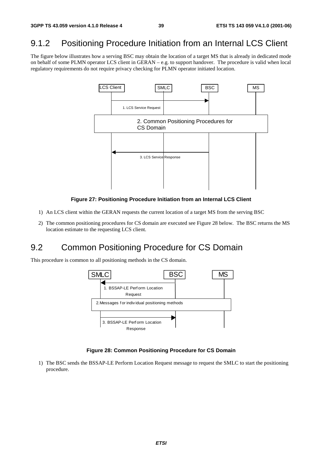### 9.1.2 Positioning Procedure Initiation from an Internal LCS Client

The figure below illustrates how a serving BSC may obtain the location of a target MS that is already in dedicated mode on behalf of some PLMN operator LCS client in GERAN – e.g. to support handover. The procedure is valid when local regulatory requirements do not require privacy checking for PLMN operator initiated location.



#### **Figure 27: Positioning Procedure Initiation from an Internal LCS Client**

- 1) An LCS client within the GERAN requests the current location of a target MS from the serving BSC
- 2) The common positioning procedures for CS domain are executed see Figure 28 below. The BSC returns the MS location estimate to the requesting LCS client.

### 9.2 Common Positioning Procedure for CS Domain

This procedure is common to all positioning methods in the CS domain.



#### **Figure 28: Common Positioning Procedure for CS Domain**

1) The BSC sends the BSSAP-LE Perform Location Request message to request the SMLC to start the positioning procedure.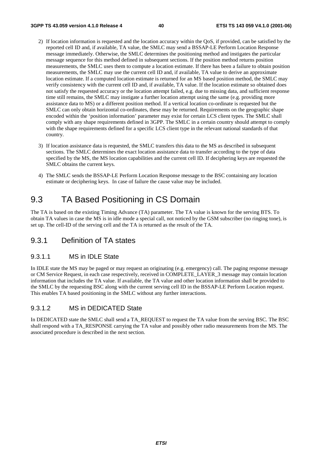- 2) If location information is requested and the location accuracy within the QoS, if provided, can be satisfied by the reported cell ID and, if available, TA value, the SMLC may send a BSSAP-LE Perform Location Response message immediately. Otherwise, the SMLC determines the positioning method and instigates the particular message sequence for this method defined in subsequent sections. If the position method returns position measurements, the SMLC uses them to compute a location estimate. If there has been a failure to obtain position measurements, the SMLC may use the current cell ID and, if available, TA value to derive an approximate location estimate. If a computed location estimate is returned for an MS based position method, the SMLC may verify consistency with the current cell ID and, if available, TA value. If the location estimate so obtained does not satisfy the requested accuracy or the location attempt failed, e.g. due to missing data, and sufficient response time still remains, the SMLC may instigate a further location attempt using the same (e.g. providing more assistance data to MS) or a different position method. If a vertical location co-ordinate is requested but the SMLC can only obtain horizontal co-ordinates, these may be returned. Requirements on the geographic shape encoded within the 'position information' parameter may exist for certain LCS client types. The SMLC shall comply with any shape requirements defined in 3GPP. The SMLC in a certain country should attempt to comply with the shape requirements defined for a specific LCS client type in the relevant national standards of that country.
- 3) If location assistance data is requested, the SMLC transfers this data to the MS as described in subsequent sections. The SMLC determines the exact location assistance data to transfer according to the type of data specified by the MS, the MS location capabilities and the current cell ID. If deciphering keys are requested the SMLC obtains the current keys.
- 4) The SMLC sends the BSSAP-LE Perform Location Response message to the BSC containing any location estimate or deciphering keys. In case of failure the cause value may be included.

### 9.3 TA Based Positioning in CS Domain

The TA is based on the existing Timing Advance (TA) parameter. The TA value is known for the serving BTS. To obtain TA values in case the MS is in idle mode a special call, not noticed by the GSM subscriber (no ringing tone), is set up. The cell-ID of the serving cell and the TA is returned as the result of the TA.

### 9.3.1 Definition of TA states

#### 9.3.1.1 MS in IDLE State

In IDLE state the MS may be paged or may request an originating (e.g. emergency) call. The paging response message or CM Service Request, in each case respectively, received in COMPLETE\_LAYER\_3 message may contain location information that includes the TA value. If available, the TA value and other location information shall be provided to the SMLC by the requesting BSC along with the current serving cell ID in the BSSAP-LE Perform Location request. This enables TA based positioning in the SMLC without any further interactions.

#### 9.3.1.2 MS in DEDICATED State

In DEDICATED state the SMLC shall send a TA\_REQUEST to request the TA value from the serving BSC. The BSC shall respond with a TA\_RESPONSE carrying the TA value and possibly other radio measurements from the MS. The associated procedure is described in the next section.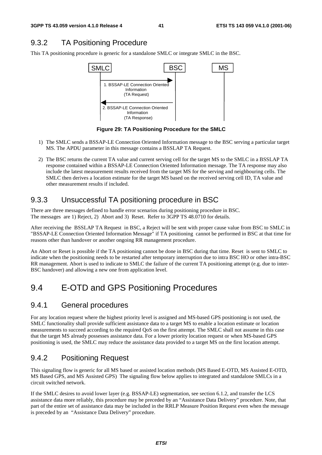### 9.3.2 TA Positioning Procedure

This TA positioning procedure is generic for a standalone SMLC or integrate SMLC in the BSC.



**Figure 29: TA Positioning Procedure for the SMLC** 

- 1) The SMLC sends a BSSAP-LE Connection Oriented Information message to the BSC serving a particular target MS. The APDU parameter in this message contains a BSSLAP TA Request.
- 2) The BSC returns the current TA value and current serving cell for the target MS to the SMLC in a BSSLAP TA response contained within a BSSAP-LE Connection Oriented Information message. The TA response may also include the latest measurement results received from the target MS for the serving and neighbouring cells. The SMLC then derives a location estimate for the target MS based on the received serving cell ID, TA value and other measurement results if included.

### 9.3.3 Unsuccessful TA positioning procedure in BSC

There are three messages defined to handle error scenarios during positioning procedure in BSC. The messages are 1) Reject, 2) Abort and 3) Reset. Refer to 3GPP TS 48.0710 for details.

After receiving the BSSLAP TA Request in BSC, a Reject will be sent with proper cause value from BSC to SMLC in "BSSAP-LE Connection Oriented Information Message" if TA positioning cannot be performed in BSC at that time for reasons other than handover or another ongoing RR management procedure.

An Abort or Reset is possible if the TA positioning cannot be done in BSC during that time. Reset is sent to SMLC to indicate when the positioning needs to be restarted after temporary interruption due to intra BSC HO or other intra-BSC RR management. Abort is used to indicate to SMLC the failure of the current TA positioning attempt (e.g. due to inter-BSC handover) and allowing a new one from application level.

### 9.4 E-OTD and GPS Positioning Procedures

### 9.4.1 General procedures

For any location request where the highest priority level is assigned and MS-based GPS positioning is not used, the SMLC functionality shall provide sufficient assistance data to a target MS to enable a location estimate or location measurements to succeed according to the required QoS on the first attempt. The SMLC shall not assume in this case that the target MS already possesses assistance data. For a lower priority location request or when MS-based GPS positioning is used, the SMLC may reduce the assistance data provided to a target MS on the first location attempt.

### 9.4.2 Positioning Request

This signaling flow is generic for all MS based or assisted location methods (MS Based E-OTD, MS Assisted E-OTD, MS Based GPS, and MS Assisted GPS) The signaling flow below applies to integrated and standalone SMLCs in a circuit switched network.

If the SMLC desires to avoid lower layer (e.g. BSSAP-LE) segmentation, see section 6.1.2, and transfer the LCS assistance data more reliably, this procedure may be preceded by an "Assistance Data Delivery" procedure. Note, that part of the entire set of assistance data may be included in the RRLP Measure Position Request even when the message is preceded by an "Assistance Data Delivery" procedure.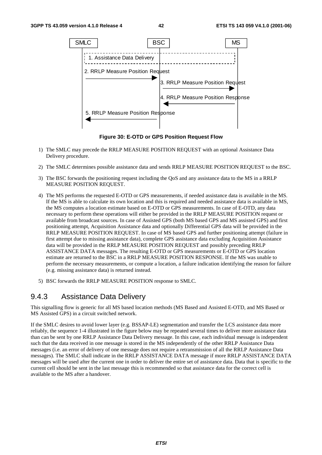

**Figure 30: E-OTD or GPS Position Request Flow** 

- 1) The SMLC may precede the RRLP MEASURE POSITION REQUEST with an optional Assistance Data Delivery procedure.
- 2) The SMLC determines possible assistance data and sends RRLP MEASURE POSITION REQUEST to the BSC.
- 3) The BSC forwards the positioning request including the QoS and any assistance data to the MS in a RRLP MEASURE POSITION REQUEST.
- 4) The MS performs the requested E-OTD or GPS measurements, if needed assistance data is available in the MS. If the MS is able to calculate its own location and this is required and needed assistance data is available in MS, the MS computes a location estimate based on E-OTD or GPS measurements. In case of E-OTD, any data necessary to perform these operations will either be provided in the RRLP MEASURE POSITION request or available from broadcast sources. In case of Assisted GPS (both MS based GPS and MS assisted GPS) and first positioning attempt, Acquisition Assistance data and optionally Differential GPS data will be provided in the RRLP MEASURE POSITION REQUEST. In case of MS based GPS and further positioning attempt (failure in first attempt due to missing assistance data), complete GPS assistance data excluding Acquisition Assistance data will be provided in the RRLP MEASURE POSITION REQUEST and possibly preceding RRLP ASSISTANCE DATA messages. The resulting E-OTD or GPS measurements or E-OTD or GPS location estimate are returned to the BSC in a RRLP MEASURE POSITION RESPONSE. If the MS was unable to perform the necessary measurements, or compute a location, a failure indication identifying the reason for failure (e.g. missing assistance data) is returned instead.
- 5) BSC forwards the RRLP MEASURE POSITION response to SMLC.

### 9.4.3 Assistance Data Delivery

This signalling flow is generic for all MS based location methods (MS Based and Assisted E-OTD, and MS Based or MS Assisted GPS) in a circuit switched network.

If the SMLC desires to avoid lower layer (e.g. BSSAP-LE) segmentation and transfer the LCS assistance data more reliably, the sequence 1-4 illustrated in the figure below may be repeated several times to deliver more assistance data than can be sent by one RRLP Assistance Data Delivery message. In this case, each individual message is independent such that the data received in one message is stored in the MS independently of the other RRLP Assistance Data messages (i.e. an error of delivery of one message does not require a retransmission of all the RRLP Assistance Data messages). The SMLC shall indicate in the RRLP ASSISTANCE DATA message if more RRLP ASSISTANCE DATA messages will be used after the current one in order to deliver the entire set of assistance data. Data that is specific to the current cell should be sent in the last message this is recommended so that assistance data for the correct cell is available to the MS after a handover.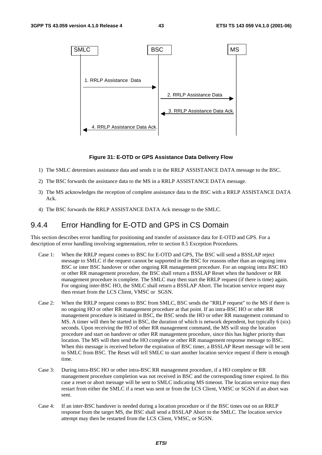

#### **Figure 31: E-OTD or GPS Assistance Data Delivery Flow**

- 1) The SMLC determines assistance data and sends it in the RRLP ASSISTANCE DATA message to the BSC.
- 2) The BSC forwards the assistance data to the MS in a RRLP ASSISTANCE DATA message.
- 3) The MS acknowledges the reception of complete assistance data to the BSC with a RRLP ASSISTANCE DATA Ack.
- 4) The BSC forwards the RRLP ASSISTANCE DATA Ack message to the SMLC.

### 9.4.4 Error Handling for E-OTD and GPS in CS Domain

This section describes error handling for positioning and transfer of assistance data for E-OTD and GPS. For a description of error handling involving segmentation, refer to section 8.5 Exception Procedures.

- Case 1: When the RRLP request comes to BSC for E-OTD and GPS, The BSC will send a BSSLAP reject message to SMLC if the request cannot be supported in the BSC for reasons other than an ongoing intra BSC or inter BSC handover or other ongoing RR management procedure. For an ongoing intra BSC HO or other RR management procedure, the BSC shall return a BSSLAP Reset when the handover or RR management procedure is complete. The SMLC may then start the RRLP request (if there is time) again. For ongoing inter-BSC HO, the SMLC shall return a BSSLAP Abort. The location service request may then restart from the LCS Client, VMSC or SGSN.
- Case 2: When the RRLP request comes to BSC from SMLC, BSC sends the "RRLP request" to the MS if there is no ongoing HO or other RR management procedure at that point. If an intra-BSC HO or other RR management procedure is initiated in BSC, the BSC sends the HO or other RR management command to MS. A timer will then be started in BSC, the duration of which is network dependent, but typically 6 (six) seconds. Upon receiving the HO of other RR management command, the MS will stop the location procedure and start on handover or other RR management procedure, since this has higher priority than location. The MS will then send the HO complete or other RR management response message to BSC. When this message is received before the expiration of BSC timer, a BSSLAP Reset message will be sent to SMLC from BSC. The Reset will tell SMLC to start another location service request if there is enough time.
- Case 3: During intra-BSC HO or other intra-BSC RR management procedure, if a HO complete or RR management procedure completion was not received in BSC and the corresponding timer expired. In this case a reset or abort message will be sent to SMLC indicating MS timeout. The location service may then restart from either the SMLC if a reset was sent or from the LCS Client, VMSC or SGSN if an abort was sent.
- Case 4: If an inter-BSC handover is needed during a location procedure or if the BSC times out on an RRLP response from the target MS, the BSC shall send a BSSLAP Abort to the SMLC. The location service attempt may then be restarted from the LCS Client, VMSC, or SGSN.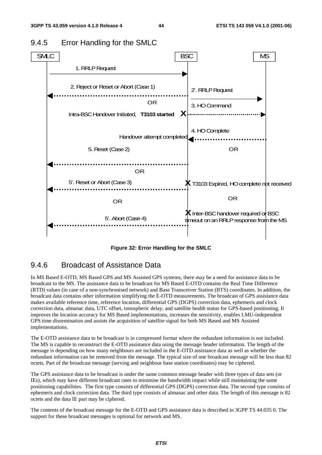

### 9.4.5 Error Handling for the SMLC

**Figure 32: Error Handling for the SMLC** 

### 9.4.6 Broadcast of Assistance Data

In MS Based E-OTD, MS Based GPS and MS Assisted GPS systems, there may be a need for assistance data to be broadcast to the MS. The assistance data to be broadcast for MS Based E-OTD contains the Real Time Difference (RTD) values (in case of a non-synchronised network) and Base Transceiver Station (BTS) coordinates. In addition, the broadcast data contains other information simplifying the E-OTD measurements. The broadcast of GPS assistance data makes available reference time, reference location, differential GPS (DGPS) correction data, ephemeris and clock correction data, almanac data, UTC offset, ionospheric delay, and satellite health status for GPS-based positioning. It improves the location accuracy for MS Based implementations, increases the sensitivity, enables LMU-independent GPS time dissemination and assists the acquisition of satellite signal for both MS Based and MS Assisted implementations.

The E-OTD assistance data to be broadcast is in compressed format where the redundant information is not included. The MS is capable to reconstruct the E-OTD assistance data using the message header information. The length of the message is depending on how many neighbours are included in the E-OTD assistance data as well as whether the redundant information can be removed from the message. The typical size of one broadcast message will be less than 82 octets. Part of the broadcast message (serving and neighbour base station coordinates) may be ciphered.

The GPS assistance data to be broadcast is under the same common message header with three types of data sets (or IEs), which may have different broadcast rates to minimise the bandwidth impact while still maintaining the same positioning capabilities. The first type consists of differential GPS (DGPS) correction data. The second type consists of ephemeris and clock correction data. The third type consists of almanac and other data. The length of this message is 82 octets and the data IE part may be ciphered.

The contents of the broadcast message for the E-OTD and GPS assistance data is described in 3GPP TS 44.035 0. The support for these broadcast messages is optional for network and MS.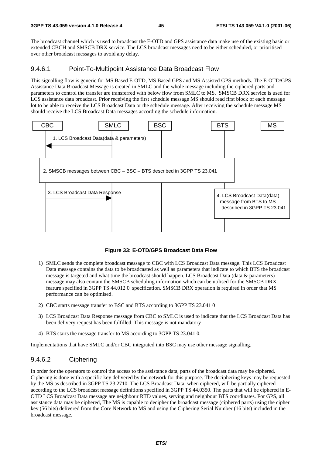The broadcast channel which is used to broadcast the E-OTD and GPS assistance data make use of the existing basic or extended CBCH and SMSCB DRX service. The LCS broadcast messages need to be either scheduled, or prioritised over other broadcast messages to avoid any delay.

#### 9.4.6.1 Point-To-Multipoint Assistance Data Broadcast Flow

This signalling flow is generic for MS Based E-OTD, MS Based GPS and MS Assisted GPS methods. The E-OTD/GPS Assistance Data Broadcast Message is created in SMLC and the whole message including the ciphered parts and parameters to control the transfer are transferred with below flow from SMLC to MS. SMSCB DRX service is used for LCS assistance data broadcast. Prior receiving the first schedule message MS should read first block of each message lot to be able to receive the LCS Broadcast Data or the schedule message. After receiving the schedule message MS should receive the LCS Broadcast Data messages according the schedule information.



**Figure 33: E-OTD/GPS Broadcast Data Flow** 

- 1) SMLC sends the complete broadcast message to CBC with LCS Broadcast Data message. This LCS Broadcast Data message contains the data to be broadcasted as well as parameters that indicate to which BTS the broadcast message is targeted and what time the broadcast should happen. LCS Broadcast Data (data & parameters) message may also contain the SMSCB scheduling information which can be utilised for the SMSCB DRX feature specified in 3GPP TS 44.012 0 specification. SMSCB DRX operation is required in order that MS performance can be optimised.
- 2) CBC starts message transfer to BSC and BTS according to 3GPP TS 23.041 0
- 3) LCS Broadcast Data Response message from CBC to SMLC is used to indicate that the LCS Broadcast Data has been delivery request has been fulfilled. This message is not mandatory
- 4) BTS starts the message transfer to MS according to 3GPP TS 23.041 0.

Implementations that have SMLC and/or CBC integrated into BSC may use other message signalling.

#### 9.4.6.2 Ciphering

In order for the operators to control the access to the assistance data, parts of the broadcast data may be ciphered. Ciphering is done with a specific key delivered by the network for this purpose. The deciphering keys may be requested by the MS as described in 3GPP TS 23.2710. The LCS Broadcast Data, when ciphered, will be partially ciphered according to the LCS broadcast message definitions specified in 3GPP TS 44.0350. The parts that will be ciphered in E-OTD LCS Broadcast Data message are neighbour RTD values, serving and neighbour BTS coordinates. For GPS, all assistance data may be ciphered, The MS is capable to decipher the broadcast message (ciphered parts) using the cipher key (56 bits) delivered from the Core Network to MS and using the Ciphering Serial Number (16 bits) included in the broadcast message.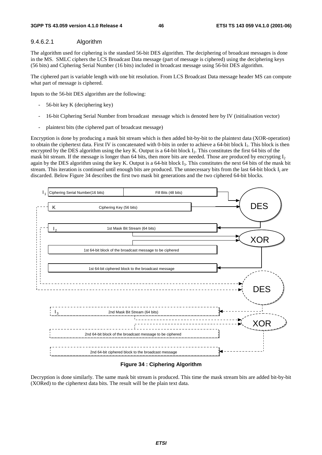#### 9.4.6.2.1 Algorithm

The algorithm used for ciphering is the standard 56-bit DES algorithm. The deciphering of broadcast messages is done in the MS. SMLC ciphers the LCS Broadcast Data message (part of message is ciphered) using the deciphering keys (56 bits) and Ciphering Serial Number (16 bits) included in broadcast message using 56-bit DES algorithm.

The ciphered part is variable length with one bit resolution. From LCS Broadcast Data message header MS can compute what part of message is ciphered.

Inputs to the 56-bit DES algorithm are the following:

- 56-bit key K (deciphering key)
- 16-bit Ciphering Serial Number from broadcast message which is denoted here by IV (initialisation vector)
- plaintext bits (the ciphered part of broadcast message)

Encryption is done by producing a mask bit stream which is then added bit-by-bit to the plaintext data (XOR-operation) to obtain the ciphertext data. First IV is concatenated with 0-bits in order to achieve a 64-bit block I<sub>1</sub>. This block is then encrypted by the DES algorithm using the key K. Output is a 64-bit block  $I_2$ . This constitutes the first 64 bits of the mask bit stream. If the message is longer than 64 bits, then more bits are needed. Those are produced by encrypting I<sub>2</sub> again by the DES algorithm using the key K. Output is a 64-bit block  $I_3$ . This constitutes the next 64 bits of the mask bit stream. This iteration is continued until enough bits are produced. The unnecessary bits from the last  $64$ -bit block  $I_i$  are discarded. Below Figure 34 describes the first two mask bit generations and the two ciphered 64-bit blocks.



**Figure 34 : Ciphering Algorithm** 

Decryption is done similarly. The same mask bit stream is produced. This time the mask stream bits are added bit-by-bit (XORed) to the ciphertext data bits. The result will be the plain text data.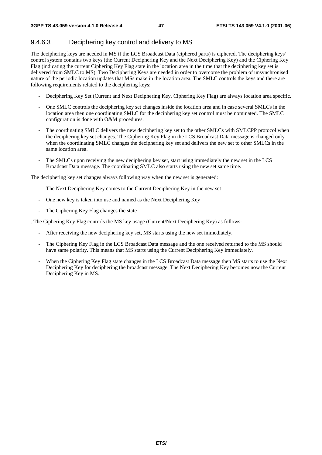### 9.4.6.3 Deciphering key control and delivery to MS

The deciphering keys are needed in MS if the LCS Broadcast Data (ciphered parts) is ciphered. The deciphering keys' control system contains two keys (the Current Deciphering Key and the Next Deciphering Key) and the Ciphering Key Flag (indicating the current Ciphering Key Flag state in the location area in the time that the deciphering key set is delivered from SMLC to MS). Two Deciphering Keys are needed in order to overcome the problem of unsynchronised nature of the periodic location updates that MSs make in the location area. The SMLC controls the keys and there are following requirements related to the deciphering keys:

- Deciphering Key Set (Current and Next Deciphering Key, Ciphering Key Flag) are always location area specific.
- One SMLC controls the deciphering key set changes inside the location area and in case several SMLCs in the location area then one coordinating SMLC for the deciphering key set control must be nominated. The SMLC configuration is done with O&M procedures.
- The coordinating SMLC delivers the new deciphering key set to the other SMLCs with SMLCPP protocol when the deciphering key set changes. The Ciphering Key Flag in the LCS Broadcast Data message is changed only when the coordinating SMLC changes the deciphering key set and delivers the new set to other SMLCs in the same location area.
- The SMLCs upon receiving the new deciphering key set, start using immediately the new set in the LCS Broadcast Data message. The coordinating SMLC also starts using the new set same time.

The deciphering key set changes always following way when the new set is generated:

- The Next Deciphering Key comes to the Current Deciphering Key in the new set
- One new key is taken into use and named as the Next Deciphering Key
- The Ciphering Key Flag changes the state

. The Ciphering Key Flag controls the MS key usage (Current/Next Deciphering Key) as follows:

- After receiving the new deciphering key set, MS starts using the new set immediately.
- The Ciphering Key Flag in the LCS Broadcast Data message and the one received returned to the MS should have same polarity. This means that MS starts using the Current Deciphering Key immediately.
- When the Ciphering Key Flag state changes in the LCS Broadcast Data message then MS starts to use the Next Deciphering Key for deciphering the broadcast message. The Next Deciphering Key becomes now the Current Deciphering Key in MS.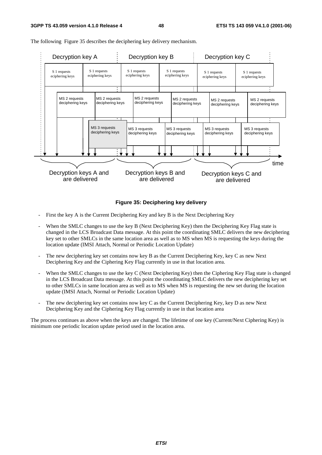

The following Figure 35 describes the deciphering key delivery mechanism.

#### **Figure 35: Deciphering key delivery**

- First the key A is the Current Deciphering Key and key B is the Next Deciphering Key
- When the SMLC changes to use the key B (Next Deciphering Key) then the Deciphering Key Flag state is changed in the LCS Broadcast Data message. At this point the coordinating SMLC delivers the new deciphering key set to other SMLCs in the same location area as well as to MS when MS is requesting the keys during the location update (IMSI Attach, Normal or Periodic Location Update)
- The new deciphering key set contains now key B as the Current Deciphering Key, key C as new Next Deciphering Key and the Ciphering Key Flag currently in use in that location area.
- When the SMLC changes to use the key C (Next Deciphering Key) then the Ciphering Key Flag state is changed in the LCS Broadcast Data message. At this point the coordinating SMLC delivers the new deciphering key set to other SMLCs in same location area as well as to MS when MS is requesting the new set during the location update (IMSI Attach, Normal or Periodic Location Update)
- The new deciphering key set contains now key C as the Current Deciphering Key, key D as new Next Deciphering Key and the Ciphering Key Flag currently in use in that location area

The process continues as above when the keys are changed. The lifetime of one key (Current/Next Ciphering Key) is minimum one periodic location update period used in the location area.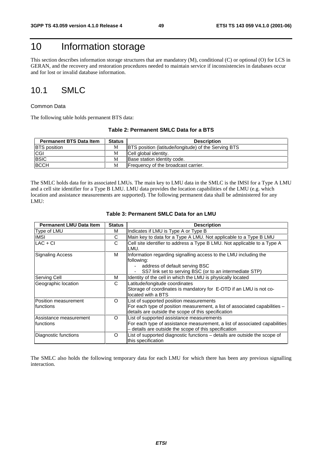### 10 Information storage

This section describes information storage structures that are mandatory (M), conditional (C) or optional (O) for LCS in GERAN, and the recovery and restoration procedures needed to maintain service if inconsistencies in databases occur and for lost or invalid database information.

### 10.1 SMLC

#### Common Data

The following table holds permanent BTS data:

#### **Table 2: Permanent SMLC Data for a BTS**

| <b>Permanent BTS Data Item</b> | <b>Status</b> | <b>Description</b>                                          |
|--------------------------------|---------------|-------------------------------------------------------------|
| <b>IBTS</b> position           | М             | <b>BTS</b> position (latitude/longitude) of the Serving BTS |
| CGI                            | М             | Cell global identity.                                       |
| <b>BSIC</b>                    | М             | Base station identity code.                                 |
| <b>BCCH</b>                    | M             | Frequency of the broadcast carrier.                         |

The SMLC holds data for its associated LMUs. The main key to LMU data in the SMLC is the IMSI for a Type A LMU and a cell site identifier for a Type B LMU. LMU data provides the location capabilities of the LMU (e.g. which location and assistance measurements are supported). The following permanent data shall be administered for any LMU:

| <b>Permanent LMU Data Item</b>       | <b>Status</b> | <b>Description</b>                                                                                                                                                               |
|--------------------------------------|---------------|----------------------------------------------------------------------------------------------------------------------------------------------------------------------------------|
| Type of LMU                          | м             | Indicates if LMU is Type A or Type B                                                                                                                                             |
| <b>IMSI</b>                          | C             | Main key to data for a Type A LMU. Not applicable to a Type B LMU                                                                                                                |
| $LAC + CI$                           | C             | Cell site identifier to address a Type B LMU. Not applicable to a Type A<br>LMU.                                                                                                 |
| <b>Signaling Access</b>              | м             | Information regarding signalling access to the LMU including the<br>following:<br>address of default serving BSC<br>SS7 link set to serving BSC (or to an intermediate STP)      |
| Serving Cell                         | м             | Identity of the cell in which the LMU is physically located                                                                                                                      |
| Geographic location                  | C             | Latitude/longitude coordinates<br>Storage of coordinates is mandatory for E-OTD if an LMU is not co-<br>located with a BTS                                                       |
| Position measurement<br>Ifunctions   | O             | List of supported position measurements<br>For each type of position measurement, a list of associated capabilities -<br>details are outside the scope of this specification     |
| Assistance measurement<br>Ifunctions | $\Omega$      | List of supported assistance measurements<br>For each type of assistance measurement, a list of associated capabilities<br>- details are outside the scope of this specification |
| Diagnostic functions                 | O             | List of supported diagnostic functions – details are outside the scope of<br>this specification                                                                                  |

#### **Table 3: Permanent SMLC Data for an LMU**

The SMLC also holds the following temporary data for each LMU for which there has been any previous signalling interaction.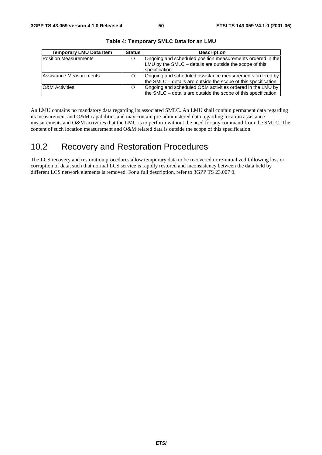| <b>Temporary LMU Data Item</b> | <b>Status</b> | <b>Description</b>                                                                                                                             |
|--------------------------------|---------------|------------------------------------------------------------------------------------------------------------------------------------------------|
| Position Measurements          | $\Omega$      | Ongoing and scheduled position measurements ordered in the<br>LMU by the SMLC – details are outside the scope of this<br><b>Ispecification</b> |
| Assistance Measurements        | $\Omega$      | Ongoing and scheduled assistance measurements ordered by<br>the SMLC – details are outside the scope of this specification                     |
| <b>O&amp;M</b> Activities      | $\Omega$      | Ongoing and scheduled O&M activities ordered in the LMU by<br>the SMLC – details are outside the scope of this specification                   |

**Table 4: Temporary SMLC Data for an LMU** 

An LMU contains no mandatory data regarding its associated SMLC. An LMU shall contain permanent data regarding its measurement and O&M capabilities and may contain pre-administered data regarding location assistance measurements and O&M activities that the LMU is to perform without the need for any command from the SMLC. The content of such location measurement and O&M related data is outside the scope of this specification.

### 10.2 Recovery and Restoration Procedures

The LCS recovery and restoration procedures allow temporary data to be recovered or re-initialized following loss or corruption of data, such that normal LCS service is rapidly restored and inconsistency between the data held by different LCS network elements is removed. For a full description, refer to 3GPP TS 23.007 0.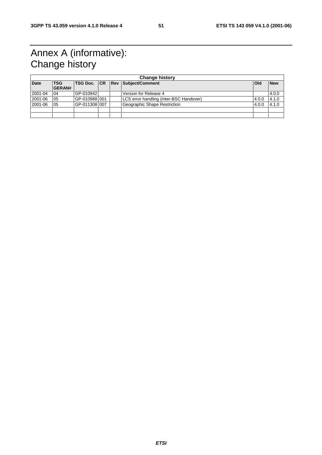### Annex A (informative): Change history

| <b>Change history</b> |                             |                |  |  |                                         |            |            |
|-----------------------|-----------------------------|----------------|--|--|-----------------------------------------|------------|------------|
| <b>Date</b>           | <b>TSG</b><br><b>GERAN#</b> |                |  |  | TSG Doc.   CR   Rev   Subject/Comment   | <b>Old</b> | <b>New</b> |
| 2001-04               | 04                          | GP-010942      |  |  | Version for Release 4                   |            | 4.0.0      |
| 2001-06               | 05                          | IGP-0109881001 |  |  | LCS error handling (Inter-BSC Handover) | 4.0.0      | 4.1.0      |
| 2001-06               | 05                          | IGP-0113081007 |  |  | Geographic Shape Restriction            | 4.0.0      | 4.1.0      |
|                       |                             |                |  |  |                                         |            |            |
|                       |                             |                |  |  |                                         |            |            |